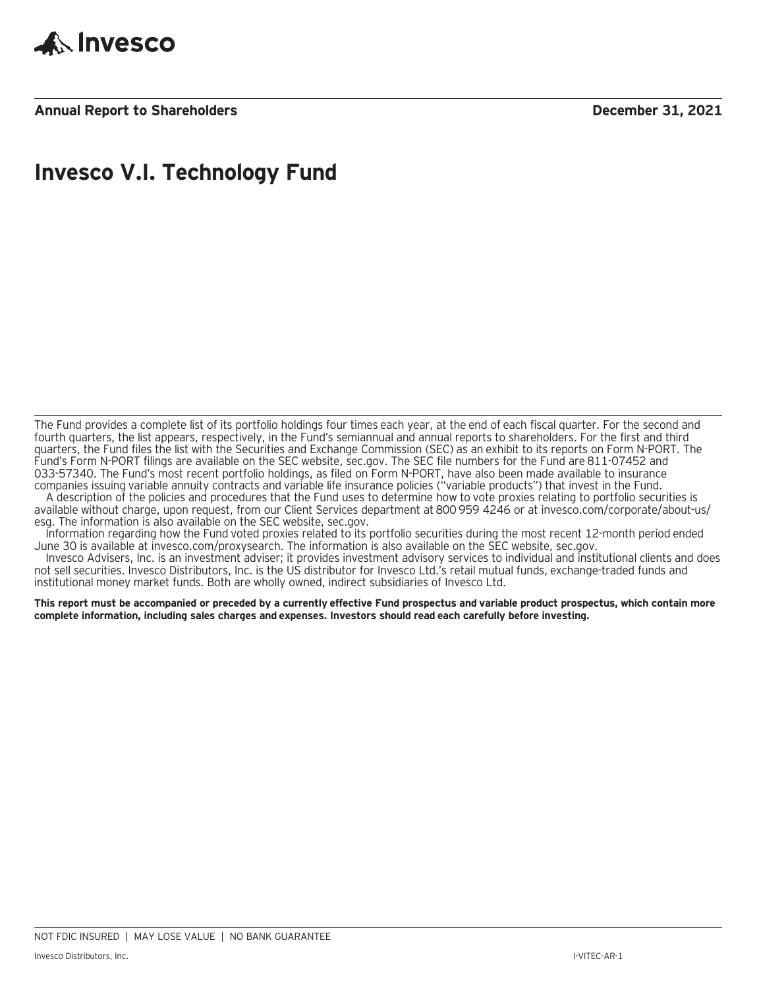

**Annual Report to Shareholders December 31, 2021**

### **Invesco V.I. Technology Fund**

The Fund provides a complete list of its portfolio holdings four times each year, at the end of each fiscal quarter. For the second and fourth quarters, the list appears, respectively, in the Fund's semiannual and annual reports to shareholders. For the first and third quarters, the Fund files the list with the Securities and Exchange Commission (SEC) as an exhibit to its reports on Form N-PORT. The Fund's Form N-PORT filings are available on the SEC website, sec.gov. The SEC file numbers for the Fund are 811-07452 and 033-57340. The Fund's most recent portfolio holdings, as filed on Form N-PORT, have also been made available to insurance companies issuing variable annuity contracts and variable life insurance policies ("variable products") that invest in the Fund.

A description of the policies and procedures that the Fund uses to determine how to vote proxies relating to portfolio securities is available without charge, upon request, from our Client Services department at 800 959 4246 or at invesco.com/corporate/about-us/ esg. The information is also available on the SEC website, sec.gov.

Information regarding how the Fund voted proxies related to its portfolio securities during the most recent 12-month period ended June 30 is available at invesco.com/proxysearch. The information is also available on the SEC website, sec.gov.

Invesco Advisers, Inc. is an investment adviser; it provides investment advisory services to individual and institutional clients and does not sell securities. Invesco Distributors, Inc. is the US distributor for Invesco Ltd.'s retail mutual funds, exchange-traded funds and institutional money market funds. Both are wholly owned, indirect subsidiaries of Invesco Ltd.

**This report must be accompanied or preceded by a currently effective Fund prospectus and variable product prospectus, which contain more complete information, including sales charges and expenses. Investors should read each carefully before investing.**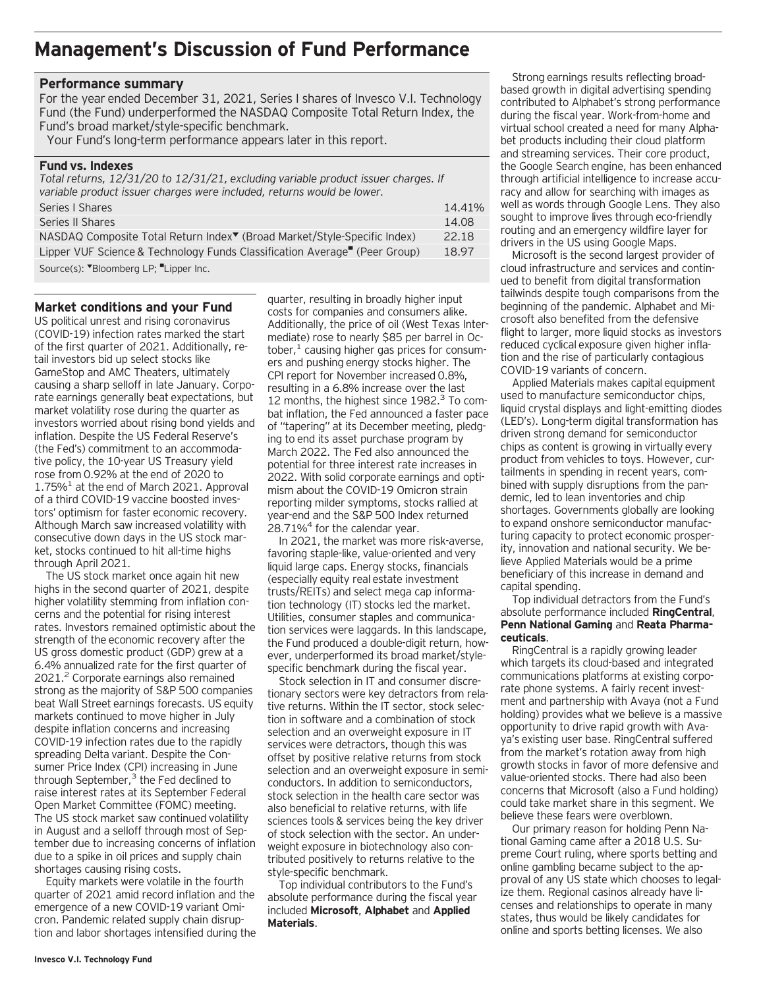### **Management's Discussion of Fund Performance**

### **Performance summary**

For the year ended December 31, 2021, Series I shares of Invesco V.I. Technology Fund (the Fund) underperformed the NASDAQ Composite Total Return Index, the Fund's broad market/style-specific benchmark.

Your Fund's long-term performance appears later in this report.

#### **Fund vs. Indexes**

*Total returns, 12/31/20 to 12/31/21, excluding variable product issuer charges. If variable product issuer charges were included, returns would be lower.*

| Series   Shares                                                                                                                                                                                                                | 14.41% |
|--------------------------------------------------------------------------------------------------------------------------------------------------------------------------------------------------------------------------------|--------|
| Series II Shares                                                                                                                                                                                                               | 14.08  |
| NASDAQ Composite Total Return Index <sup>▼</sup> (Broad Market/Style-Specific Index)                                                                                                                                           | 22.18  |
| Lipper VUF Science & Technology Funds Classification Average (Peer Group)                                                                                                                                                      | 18.97  |
| $C_{\text{c}}$ $\left( \text{d} \right)$ $\left( \text{d} \right)$ $\left( \text{d} \right)$ $\left( \text{d} \right)$ $\left( \text{d} \right)$ $\left( \text{d} \right)$ $\left( \text{d} \right)$ $\left( \text{d} \right)$ |        |

Source(s): "Bloomberg LP; "Lipper Inc.

### **Market conditions and your Fund**

US political unrest and rising coronavirus (COVID-19) infection rates marked the start of the first quarter of 2021. Additionally, retail investors bid up select stocks like GameStop and AMC Theaters, ultimately causing a sharp selloff in late January. Corporate earnings generally beat expectations, but market volatility rose during the quarter as investors worried about rising bond yields and inflation. Despite the US Federal Reserve's (the Fed's) commitment to an accommodative policy, the 10-year US Treasury yield rose from 0.92% at the end of 2020 to  $1.75\%$ <sup>1</sup> at the end of March 2021. Approval of a third COVID-19 vaccine boosted investors' optimism for faster economic recovery. Although March saw increased volatility with consecutive down days in the US stock market, stocks continued to hit all-time highs through April 2021.

The US stock market once again hit new highs in the second quarter of 2021, despite higher volatility stemming from inflation concerns and the potential for rising interest rates. Investors remained optimistic about the strength of the economic recovery after the US gross domestic product (GDP) grew at a 6.4% annualized rate for the first quarter of 2021.<sup>2</sup> Corporate earnings also remained strong as the majority of S&P 500 companies beat Wall Street earnings forecasts. US equity markets continued to move higher in July despite inflation concerns and increasing COVID-19 infection rates due to the rapidly spreading Delta variant. Despite the Consumer Price Index (CPI) increasing in June through September, $3$  the Fed declined to raise interest rates at its September Federal Open Market Committee (FOMC) meeting. The US stock market saw continued volatility in August and a selloff through most of September due to increasing concerns of inflation due to a spike in oil prices and supply chain shortages causing rising costs.

Equity markets were volatile in the fourth quarter of 2021 amid record inflation and the emergence of a new COVID-19 variant Omicron. Pandemic related supply chain disruption and labor shortages intensified during the

quarter, resulting in broadly higher input costs for companies and consumers alike. Additionally, the price of oil (West Texas Intermediate) rose to nearly \$85 per barrel in October, $<sup>1</sup>$  causing higher gas prices for consum-</sup> ers and pushing energy stocks higher. The CPI report for November increased 0.8%, resulting in a 6.8% increase over the last 12 months, the highest since 1982.<sup>3</sup> To combat inflation, the Fed announced a faster pace of "tapering" at its December meeting, pledging to end its asset purchase program by March 2022. The Fed also announced the potential for three interest rate increases in 2022. With solid corporate earnings and optimism about the COVID-19 Omicron strain reporting milder symptoms, stocks rallied at year-end and the S&P 500 Index returned 28.71% $4$  for the calendar year.

In 2021, the market was more risk-averse, favoring staple-like, value-oriented and very liquid large caps. Energy stocks, financials (especially equity real estate investment trusts/REITs) and select mega cap information technology (IT) stocks led the market. Utilities, consumer staples and communication services were laggards. In this landscape, the Fund produced a double-digit return, however, underperformed its broad market/stylespecific benchmark during the fiscal year.

Stock selection in IT and consumer discretionary sectors were key detractors from relative returns. Within the IT sector, stock selection in software and a combination of stock selection and an overweight exposure in IT services were detractors, though this was offset by positive relative returns from stock selection and an overweight exposure in semiconductors. In addition to semiconductors, stock selection in the health care sector was also beneficial to relative returns, with life sciences tools & services being the key driver of stock selection with the sector. An underweight exposure in biotechnology also contributed positively to returns relative to the style-specific benchmark.

Top individual contributors to the Fund's absolute performance during the fiscal year included **Microsoft**, **Alphabet** and **Applied Materials**.

Strong earnings results reflecting broadbased growth in digital advertising spending contributed to Alphabet's strong performance during the fiscal year. Work-from-home and virtual school created a need for many Alphabet products including their cloud platform and streaming services. Their core product, the Google Search engine, has been enhanced through artificial intelligence to increase accuracy and allow for searching with images as well as words through Google Lens. They also sought to improve lives through eco-friendly routing and an emergency wildfire layer for drivers in the US using Google Maps.

Microsoft is the second largest provider of cloud infrastructure and services and continued to benefit from digital transformation tailwinds despite tough comparisons from the beginning of the pandemic. Alphabet and Microsoft also benefited from the defensive flight to larger, more liquid stocks as investors reduced cyclical exposure given higher inflation and the rise of particularly contagious COVID-19 variants of concern.

Applied Materials makes capital equipment used to manufacture semiconductor chips, liquid crystal displays and light-emitting diodes (LED's). Long-term digital transformation has driven strong demand for semiconductor chips as content is growing in virtually every product from vehicles to toys. However, curtailments in spending in recent years, combined with supply disruptions from the pandemic, led to lean inventories and chip shortages. Governments globally are looking to expand onshore semiconductor manufacturing capacity to protect economic prosperity, innovation and national security. We believe Applied Materials would be a prime beneficiary of this increase in demand and capital spending.

Top individual detractors from the Fund's absolute performance included **RingCentral**, **Penn National Gaming** and **Reata Pharmaceuticals**.

RingCentral is a rapidly growing leader which targets its cloud-based and integrated communications platforms at existing corporate phone systems. A fairly recent investment and partnership with Avaya (not a Fund holding) provides what we believe is a massive opportunity to drive rapid growth with Avaya's existing user base. RingCentral suffered from the market's rotation away from high growth stocks in favor of more defensive and value-oriented stocks. There had also been concerns that Microsoft (also a Fund holding) could take market share in this segment. We believe these fears were overblown.

Our primary reason for holding Penn National Gaming came after a 2018 U.S. Supreme Court ruling, where sports betting and online gambling became subject to the approval of any US state which chooses to legalize them. Regional casinos already have licenses and relationships to operate in many states, thus would be likely candidates for online and sports betting licenses. We also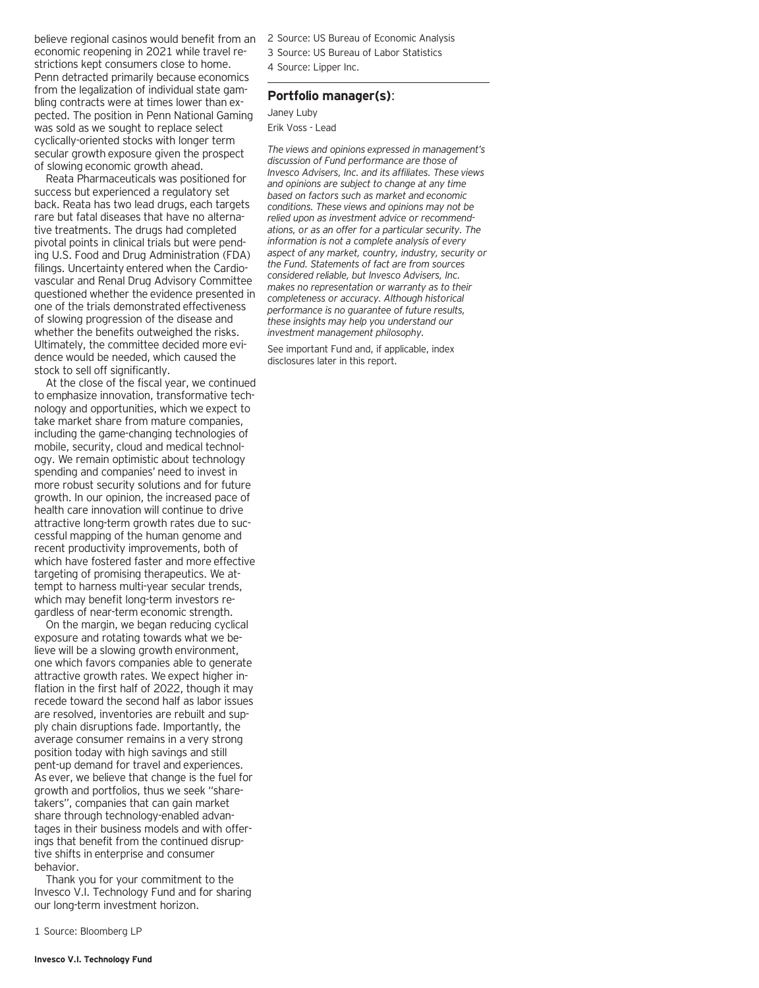believe regional casinos would benefit from an economic reopening in 2021 while travel restrictions kept consumers close to home. Penn detracted primarily because economics from the legalization of individual state gambling contracts were at times lower than expected. The position in Penn National Gaming was sold as we sought to replace select cyclically-oriented stocks with longer term secular growth exposure given the prospect of slowing economic growth ahead.

Reata Pharmaceuticals was positioned for success but experienced a regulatory set back. Reata has two lead drugs, each targets rare but fatal diseases that have no alternative treatments. The drugs had completed pivotal points in clinical trials but were pending U.S. Food and Drug Administration (FDA) filings. Uncertainty entered when the Cardiovascular and Renal Drug Advisory Committee questioned whether the evidence presented in one of the trials demonstrated effectiveness of slowing progression of the disease and whether the benefits outweighed the risks. Ultimately, the committee decided more evidence would be needed, which caused the stock to sell off significantly.

At the close of the fiscal year, we continued to emphasize innovation, transformative technology and opportunities, which we expect to take market share from mature companies, including the game-changing technologies of mobile, security, cloud and medical technology. We remain optimistic about technology spending and companies' need to invest in more robust security solutions and for future growth. In our opinion, the increased pace of health care innovation will continue to drive attractive long-term growth rates due to successful mapping of the human genome and recent productivity improvements, both of which have fostered faster and more effective targeting of promising therapeutics. We attempt to harness multi-year secular trends, which may benefit long-term investors regardless of near-term economic strength.

On the margin, we began reducing cyclical exposure and rotating towards what we believe will be a slowing growth environment, one which favors companies able to generate attractive growth rates. We expect higher inflation in the first half of 2022, though it may recede toward the second half as labor issues are resolved, inventories are rebuilt and supply chain disruptions fade. Importantly, the average consumer remains in a very strong position today with high savings and still pent-up demand for travel and experiences. As ever, we believe that change is the fuel for growth and portfolios, thus we seek "sharetakers", companies that can gain market share through technology-enabled advantages in their business models and with offerings that benefit from the continued disruptive shifts in enterprise and consumer behavior.

Thank you for your commitment to the Invesco V.I. Technology Fund and for sharing our long-term investment horizon.

1 Source: Bloomberg LP

2 Source: US Bureau of Economic Analysis

- 3 Source: US Bureau of Labor Statistics
- 4 Source: Lipper Inc.

### **Portfolio manager(s)**:

Janey Luby Erik Voss - Lead

*The views and opinions expressed in management's discussion of Fund performance are those of Invesco Advisers, Inc. and its affiliates. These views and opinions are subject to change at any time based on factors such as market and economic conditions. These views and opinions may not be relied upon as investment advice or recommendations, or as an offer for a particular security. The information is not a complete analysis of every aspect of any market, country, industry, security or the Fund. Statements of fact are from sources considered reliable, but Invesco Advisers, Inc. makes no representation or warranty as to their completeness or accuracy. Although historical performance is no guarantee of future results, these insights may help you understand our investment management philosophy.*

See important Fund and, if applicable, index disclosures later in this report.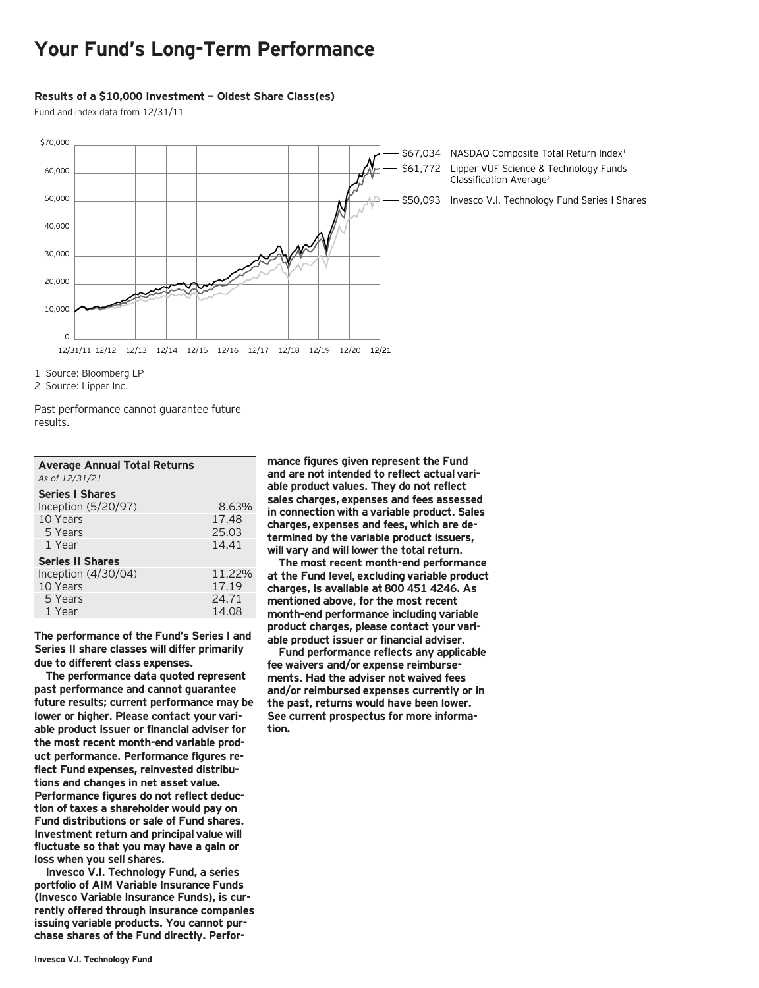### **Your Fund's Long-Term Performance**

#### **Results of a \$10,000 Investment — Oldest Share Class(es)**

Fund and index data from 12/31/11



\$67,034 NASDAQ Composite Total Return Index<sup>1</sup> \$61,772 Lipper VUF Science & Technology Funds Classification Average2

\$50,093 Invesco V.I. Technology Fund Series I Shares

1 Source: Bloomberg LP

2 Source: Lipper Inc.

Past performance cannot guarantee future results.

| <b>Average Annual Total Returns</b><br>As of 12/31/21 |        |
|-------------------------------------------------------|--------|
| <b>Series I Shares</b>                                |        |
| Inception (5/20/97)                                   | 8.63%  |
| 10 Years                                              | 17.48  |
| 5 Years                                               | 25.03  |
| 1 Year                                                | 14.41  |
| <b>Series II Shares</b>                               |        |
| Inception $(4/30/04)$                                 | 11.22% |
| 10 Years                                              | 17.19  |
| 5 Years                                               | 24.71  |
| 1 Year                                                | 14.08  |

**The performance of the Fund's Series I and Series II share classes will differ primarily due to different class expenses.**

**The performance data quoted represent past performance and cannot guarantee future results; current performance may be lower or higher. Please contact your variable product issuer or financial adviser for the most recent month-end variable product performance. Performance figures reflect Fund expenses, reinvested distributions and changes in net asset value. Performance figures do not reflect deduction of taxes a shareholder would pay on Fund distributions or sale of Fund shares. Investment return and principal value will fluctuate so that you may have a gain or loss when you sell shares.**

**Invesco V.I. Technology Fund, a series portfolio of AIM Variable Insurance Funds (Invesco Variable Insurance Funds), is currently offered through insurance companies issuing variable products. You cannot purchase shares of the Fund directly. Perfor-**

**mance figures given represent the Fund and are not intended to reflect actual variable product values. They do not reflect sales charges, expenses and fees assessed in connection with a variable product. Sales charges, expenses and fees, which are determined by the variable product issuers, will vary and will lower the total return.**

**The most recent month-end performance at the Fund level, excluding variable product charges, is available at 800 451 4246. As mentioned above, for the most recent month-end performance including variable product charges, please contact your variable product issuer or financial adviser.**

**Fund performance reflects any applicable fee waivers and/or expense reimbursements. Had the adviser not waived fees and/or reimbursed expenses currently or in the past, returns would have been lower. See current prospectus for more information.**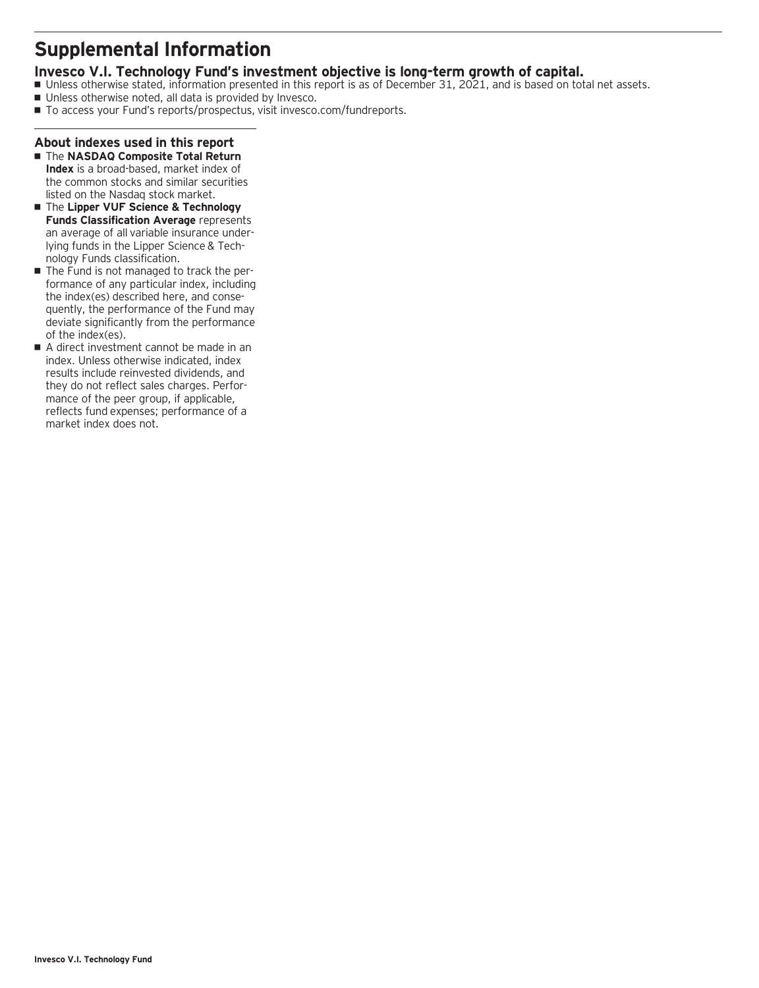### **Supplemental Information**

### **Invesco V.I. Technology Fund's investment objective is long-term growth of capital.**

- Unless otherwise stated, information presented in this report is as of December 31, 2021, and is based on total net assets.
- Unless otherwise noted, all data is provided by Invesco.
- To access your Fund's reports/prospectus, visit invesco.com/fundreports.

### **About indexes used in this report**

- The **NASDAQ Composite Total Return Index** is a broad-based, market index of the common stocks and similar securities listed on the Nasdaq stock market.
- The **Lipper VUF Science & Technology Funds Classification Average** represents an average of all variable insurance underlying funds in the Lipper Science & Technology Funds classification.
- $\blacksquare$  The Fund is not managed to track the performance of any particular index, including the index(es) described here, and consequently, the performance of the Fund may deviate significantly from the performance of the index(es).
- A direct investment cannot be made in an index. Unless otherwise indicated, index results include reinvested dividends, and they do not reflect sales charges. Performance of the peer group, if applicable, reflects fund expenses; performance of a market index does not.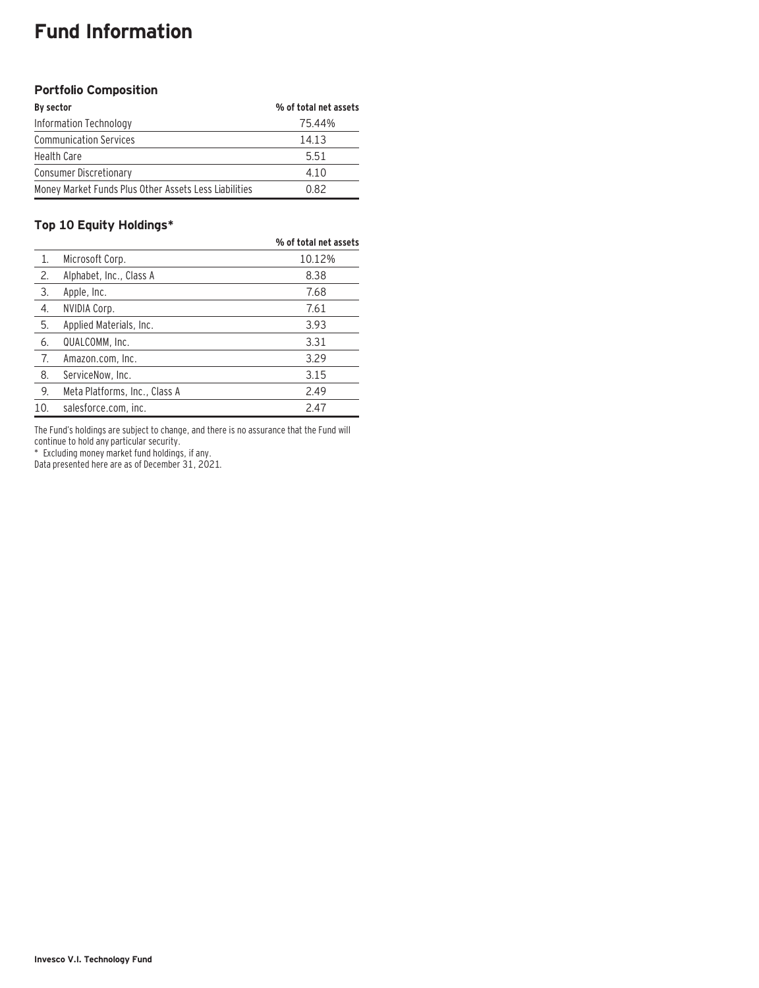# **Fund Information**

### **Portfolio Composition**

| By sector                                             | % of total net assets |
|-------------------------------------------------------|-----------------------|
| Information Technology                                | 75.44%                |
| <b>Communication Services</b>                         | 14.13                 |
| <b>Health Care</b>                                    | 5.51                  |
| <b>Consumer Discretionary</b>                         | 4.10                  |
| Money Market Funds Plus Other Assets Less Liabilities | 0.82                  |

### **Top 10 Equity Holdings\***

|     |                               | % of total net assets |
|-----|-------------------------------|-----------------------|
| 1.  | Microsoft Corp.               | 10.12%                |
| 2.  | Alphabet, Inc., Class A       | 8.38                  |
| 3.  | Apple, Inc.                   | 7.68                  |
| 4.  | NVIDIA Corp.                  | 7.61                  |
| 5.  | Applied Materials, Inc.       | 3.93                  |
| 6.  | QUALCOMM, Inc.                | 3.31                  |
| 7.  | Amazon.com, Inc.              | 3.29                  |
| 8.  | ServiceNow, Inc.              | 3.15                  |
| 9.  | Meta Platforms, Inc., Class A | 2.49                  |
| 10. | salesforce.com, inc.          | 2.47                  |

The Fund's holdings are subject to change, and there is no assurance that the Fund will continue to hold any particular security.

\* Excluding money market fund holdings, if any.

Data presented here are as of December 31, 2021.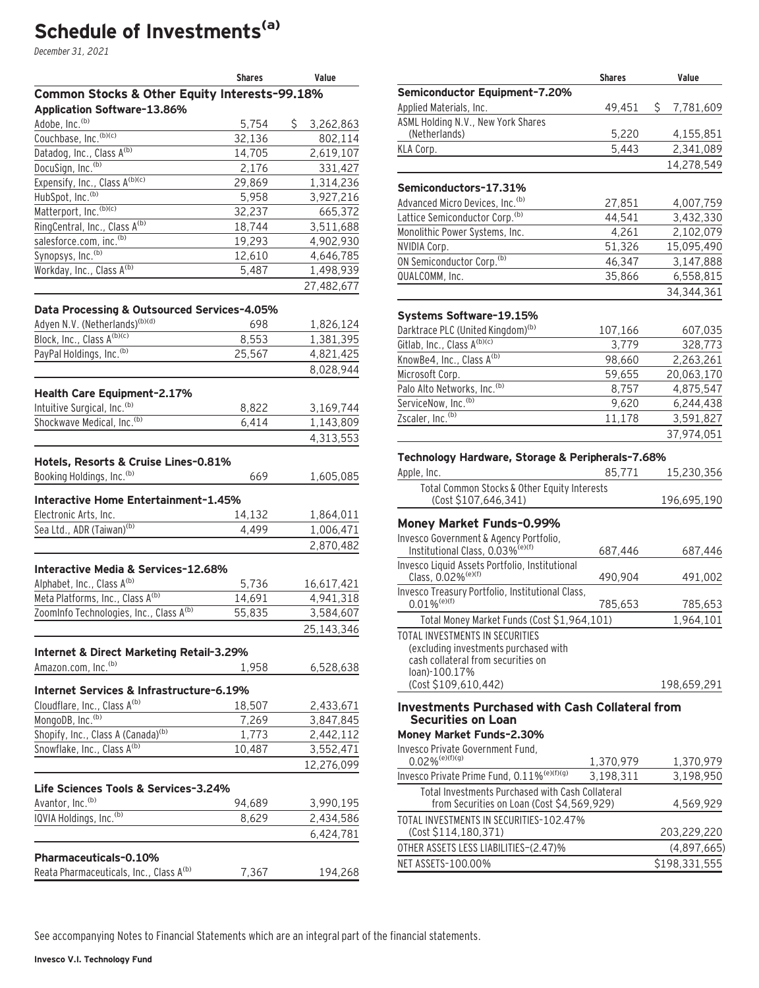# **Schedule of Investments(a)**

December 31, 2021

|                                                                      | <b>Shares</b>   | Value           |
|----------------------------------------------------------------------|-----------------|-----------------|
| Common Stocks & Other Equity Interests-99.18%                        |                 |                 |
| Application Software-13.86%                                          |                 |                 |
| Adobe, Inc. <sup>(b)</sup>                                           | 5,754           | \$<br>3,262,863 |
| Couchbase, Inc. (b)(c)                                               | 32,136          | 802,114         |
| Datadog, Inc., Class A(b)                                            | 14,705          | 2,619,107       |
| DocuSign, Inc. <sup>(b)</sup>                                        | 2,176           | 331,427         |
| Expensify, Inc., Class A(b)(c)                                       | 29,869          | 1,314,236       |
| HubSpot, Inc. <sup>(b)</sup>                                         | 5,958           | 3,927,216       |
| Matterport, Inc. (b)(c)                                              | 32,237          | 665,372         |
| RingCentral, Inc., Class A(b)                                        | 18,744          | 3,511,688       |
| salesforce.com, inc. <sup>(b)</sup><br>Synopsys, Inc. <sup>(b)</sup> | 19,293          | 4,902,930       |
| Workday, Inc., Class A(b)                                            | 12,610<br>5,487 | 4,646,785       |
|                                                                      |                 | 1,498,939       |
|                                                                      |                 | 27,482,677      |
| Data Processing & Outsourced Services-4.05%                          |                 |                 |
| Adyen N.V. (Netherlands)(b)(d)                                       | 698             | 1,826,124       |
| Block, Inc., Class A(b)(c)                                           | 8,553           | 1,381,395       |
| PayPal Holdings, Inc. (b)                                            | 25,567          | 4,821,425       |
|                                                                      |                 | 8,028,944       |
| Health Care Equipment-2.17%                                          |                 |                 |
| Intuitive Surgical, Inc. <sup>(b)</sup>                              | 8,822           | 3,169,744       |
| Shockwave Medical, Inc. <sup>(b)</sup>                               | 6,414           | 1,143,809       |
|                                                                      |                 | 4,313,553       |
|                                                                      |                 |                 |
| Hotels, Resorts & Cruise Lines-0.81%                                 |                 |                 |
| Booking Holdings, Inc. <sup>(b)</sup>                                | 669             | 1,605,085       |
| Interactive Home Entertainment-1.45%                                 |                 |                 |
| Electronic Arts, Inc.                                                | 14,132          | 1,864,011       |
| Sea Ltd., ADR (Taiwan) <sup>(b)</sup>                                | 4,499           | 1,006,471       |
|                                                                      |                 | 2,870,482       |
|                                                                      |                 |                 |
| Interactive Media & Services-12.68%                                  |                 |                 |
| Alphabet, Inc., Class A <sup>(b)</sup>                               | 5,736           | 16,617,421      |
| Meta Platforms, Inc., Class A(b)                                     | 14,691          | 4,941,318       |
| ZoomInfo Technologies, Inc., Class A(b)                              | 55,835          | 3,584,607       |
|                                                                      |                 | 25,143,346      |
| Internet & Direct Marketing Retail-3.29%                             |                 |                 |
| Amazon.com, Inc. <sup>(b)</sup>                                      | 1,958           | 6,528,638       |
|                                                                      |                 |                 |
| Internet Services & Infrastructure-6.19%                             |                 |                 |
| Cloudflare, Inc., Class A <sup>(b)</sup>                             | 18,507          | 2,433,671       |
| MongoDB, Inc. <sup>(b)</sup>                                         | 7,269           | 3,847,845       |
| Shopify, Inc., Class A (Canada) <sup>(b)</sup>                       | 1,773           | 2,442,112       |
| Snowflake, Inc., Class A(b)                                          | 10,487          | 3,552,471       |
|                                                                      |                 | 12,276,099      |
| Life Sciences Tools & Services-3.24%                                 |                 |                 |
| Avantor, Inc. <sup>(b)</sup>                                         | 94,689          | 3,990,195       |
| IQVIA Holdings, Inc. <sup>(b)</sup>                                  | 8,629           | 2,434,586       |
|                                                                      |                 | 6,424,781       |
|                                                                      |                 |                 |
| <b>Pharmaceuticals-0.10%</b>                                         |                 |                 |
| Reata Pharmaceuticals, Inc., Class A <sup>(b)</sup>                  | 7,367           | 194,268         |

|                                                                                        | <b>Shares</b> | Value           |
|----------------------------------------------------------------------------------------|---------------|-----------------|
| Semiconductor Equipment-7.20%                                                          |               |                 |
| Applied Materials, Inc.                                                                | 49,451        | \$<br>7,781,609 |
| ASML Holding N.V., New York Shares                                                     |               |                 |
| (Netherlands)                                                                          | 5,220         | 4,155,851       |
| KLA Corp.                                                                              | 5,443         | 2,341,089       |
|                                                                                        |               | 14,278,549      |
| Semiconductors-17.31%                                                                  |               |                 |
| Advanced Micro Devices, Inc. (b)                                                       | 27,851        | 4,007,759       |
| Lattice Semiconductor Corp. <sup>(b)</sup>                                             | 44,541        | 3,432,330       |
| Monolithic Power Systems, Inc.                                                         | 4,261         | 2,102,079       |
| NVIDIA Corp.                                                                           | 51,326        | 15,095,490      |
| ON Semiconductor Corp. <sup>(b)</sup>                                                  | 46,347        | 3,147,888       |
| QUALCOMM, Inc.                                                                         | 35,866        | 6,558,815       |
|                                                                                        |               | 34,344,361      |
| Systems Software-19.15%                                                                |               |                 |
| Darktrace PLC (United Kingdom) <sup>(b)</sup>                                          | 107,166       | 607,035         |
| Gitlab, Inc., Class A(b)(c)                                                            | 3,779         | 328,773         |
| KnowBe4, Inc., Class A <sup>(b)</sup>                                                  | 98,660        |                 |
| Microsoft Corp.                                                                        | 59,655        | 2,263,261       |
| Palo Alto Networks, Inc. (b)                                                           |               | 20,063,170      |
| ServiceNow, Inc. <sup>(b)</sup>                                                        | 8,757         | 4,875,547       |
| Zscaler, Inc. <sup>(b)</sup>                                                           | 9,620         | 6,244,438       |
|                                                                                        | 11,178        | 3,591,827       |
|                                                                                        |               | 37,974,051      |
| Technology Hardware, Storage & Peripherals-7.68%                                       |               |                 |
| Apple, Inc.                                                                            | 85,771        | 15,230,356      |
| Total Common Stocks & Other Equity Interests<br>(Cost \$107,646,341)                   |               | 196,695,190     |
|                                                                                        |               |                 |
| Money Market Funds-0.99%                                                               |               |                 |
| Invesco Government & Agency Portfolio,<br>Institutional Class, 0.03% <sup>(e)(f)</sup> | 687,446       | 687,446         |
| Invesco Liquid Assets Portfolio, Institutional                                         |               |                 |
| Class, 0.02% <sup>(e)(f)</sup>                                                         | 490,904       | 491,002         |
| Invesco Treasury Portfolio, Institutional Class,                                       |               |                 |
| $0.01\%$ <sup>(e)(f)</sup>                                                             | 785,653       | 785,653         |
| Total Money Market Funds (Cost \$1,964,101)                                            |               | 1,964,101       |
| TOTAL INVESTMENTS IN SECURITIES                                                        |               |                 |

(excluding investments purchased with cash collateral from securities on loan)-100.17% (Cost \$109,610,442) 198,659,291

#### **Investments Purchased with Cash Collateral from Securities on Loan**

#### **Money Market Funds–2.30%**

Invesco Private Government Fund,

| 1117C3CO   1170CC OO7CHINGHE   UNU.<br>$0.02\%$ <sup>(e)(f)(g)</sup>                           | 1,370,979 | 1,370,979     |
|------------------------------------------------------------------------------------------------|-----------|---------------|
| Invesco Private Prime Fund, 0.11% <sup>(e)(f)(g)</sup>                                         | 3.198.311 | 3,198,950     |
| Total Investments Purchased with Cash Collateral<br>from Securities on Loan (Cost \$4,569,929) |           | 4,569,929     |
| TOTAL INVESTMENTS IN SECURITIES-102.47%<br>(Cost \$114,180,371)                                |           | 203,229,220   |
| OTHER ASSETS LESS LIABILITIES-(2.47)%                                                          |           | (4,897,665)   |
| NET ASSETS-100.00%                                                                             |           | \$198,331,555 |
|                                                                                                |           |               |

See accompanying Notes to Financial Statements which are an integral part of the financial statements.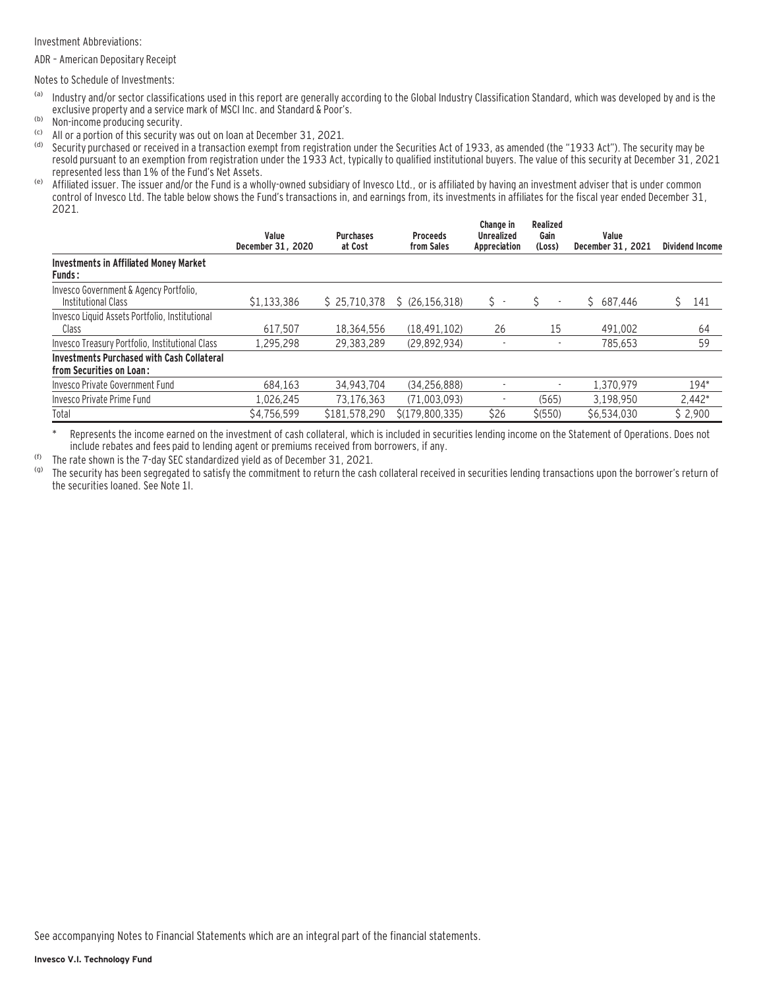Investment Abbreviations:

ADR – American Depositary Receipt

Notes to Schedule of Investments:

- (a) Industry and/or sector classifications used in this report are generally according to the Global Industry Classification Standard, which was developed by and is the exclusive property and a service mark of MSCI Inc. and Standard & Poor's.
- (b) Non-income producing security.
- (c) All or a portion of this security was out on loan at December 31, 2021.
- Security purchased or received in a transaction exempt from registration under the Securities Act of 1933, as amended (the "1933 Act"). The security may be resold pursuant to an exemption from registration under the 1933 Act, typically to qualified institutional buyers. The value of this security at December 31, 2021 represented less than 1% of the Fund's Net Assets.
- (e) Affiliated issuer. The issuer and/or the Fund is a wholly-owned subsidiary of Invesco Ltd., or is affiliated by having an investment adviser that is under common control of Invesco Ltd. The table below shows the Fund's transactions in, and earnings from, its investments in affiliates for the fiscal year ended December 31, 2021.

|                                                                               | Value<br>December 31, 2020 | <b>Purchases</b><br>at Cost | <b>Proceeds</b><br>from Sales | Change in<br><b>Unrealized</b><br>Appreciation | <b>Realized</b><br>Gain<br>(Loss) | Value<br>December 31, 2021 | <b>Dividend Income</b> |
|-------------------------------------------------------------------------------|----------------------------|-----------------------------|-------------------------------|------------------------------------------------|-----------------------------------|----------------------------|------------------------|
| <b>Investments in Affiliated Money Market</b><br><b>Funds:</b>                |                            |                             |                               |                                                |                                   |                            |                        |
| Invesco Government & Agency Portfolio,<br>Institutional Class                 | \$1.133.386                | \$25,710,378                | \$(26.156.318)                | s -                                            | $\overline{\phantom{a}}$          | \$687.446                  | 141                    |
| Invesco Liquid Assets Portfolio, Institutional<br>Class                       | 617.507                    | 18.364.556                  | (18.491.102)                  | 26                                             | 15                                | 491,002                    | 64                     |
| Invesco Treasury Portfolio, Institutional Class                               | 1.295.298                  | 29.383.289                  | (29.892.934)                  | ٠                                              |                                   | 785.653                    | 59                     |
| <b>Investments Purchased with Cash Collateral</b><br>from Securities on Loan: |                            |                             |                               |                                                |                                   |                            |                        |
| Invesco Private Government Fund                                               | 684.163                    | 34.943.704                  | (34.256.888)                  |                                                |                                   | 1.370.979                  | 194*                   |
| Invesco Private Prime Fund                                                    | 1.026.245                  | 73.176.363                  | (71.003.093)                  |                                                | (565)                             | 3.198.950                  | $2,442*$               |
| Total                                                                         | \$4.756.599                | \$181,578,290               | S(179.800.335)                | \$26                                           | \$ (550)                          | \$6.534.030                | \$2.900                |

\* Represents the income earned on the investment of cash collateral, which is included in securities lending income on the Statement of Operations. Does not include rebates and fees paid to lending agent or premiums received from borrowers, if any.

(f) The rate shown is the 7-day SEC standardized yield as of December 31, 2021.<br>(g) The security has been segregated to satisfy the commitment to return the cash

The security has been segregated to satisfy the commitment to return the cash collateral received in securities lending transactions upon the borrower's return of the securities loaned. See Note 1I.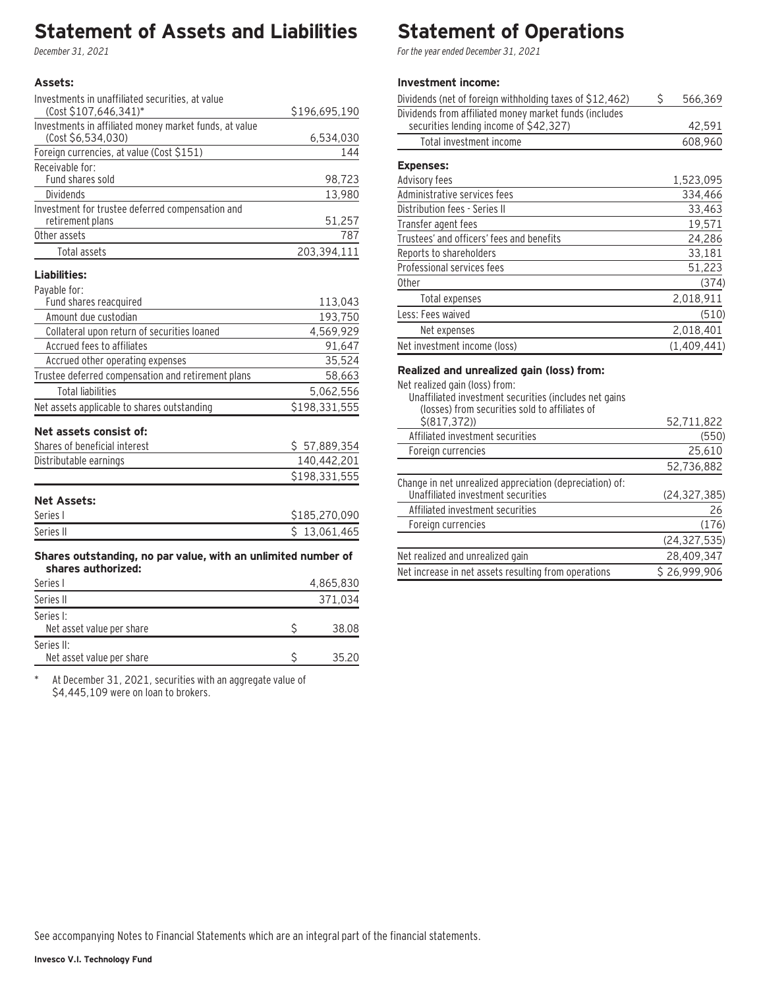### **Statement of Assets and Liabilities**

December 31, 2021

#### **Assets:**

| Investments in unaffiliated securities, at value       |               |
|--------------------------------------------------------|---------------|
| (Cost \$107,646,341)*                                  | \$196,695,190 |
| Investments in affiliated money market funds, at value |               |
| (Cost \$6,534,030)                                     | 6,534,030     |
| Foreign currencies, at value (Cost \$151)              | 144           |
| Receivable for:                                        |               |
| Fund shares sold                                       | 98,723        |
| <b>Dividends</b>                                       | 13,980        |
| Investment for trustee deferred compensation and       |               |
| retirement plans                                       | 51,257        |
| Other assets                                           | 787           |
| Total assets                                           | 203,394,111   |
|                                                        |               |

#### **Liabilities:**

| Payable for: |  |  |
|--------------|--|--|
|              |  |  |

| 113,043       |
|---------------|
| 193,750       |
| 4,569,929     |
| 91,647        |
| 35,524        |
| 58,663        |
| 5,062,556     |
| \$198,331,555 |
|               |
| \$57,889,354  |
| 140,442,201   |
| \$198,331,555 |
|               |

### **Net Assets:**

| Series I  | \$185.270.090 |
|-----------|---------------|
| Series II | 13.061.465    |

#### **Shares outstanding, no par value, with an unlimited number of shares authorized:**

| Series I                                | 4,865,830 |
|-----------------------------------------|-----------|
| Series II                               | 371,034   |
| Series I:<br>Net asset value per share  | 38.08     |
| Series II:<br>Net asset value per share | 35.20     |

\* At December 31, 2021, securities with an aggregate value of \$4,445,109 were on loan to brokers.

# **Statement of Operations**

For the year ended December 31, 2021

### **Investment income:**

| Dividends (net of foreign withholding taxes of \$12,462)                                         | Ś | 566,369     |
|--------------------------------------------------------------------------------------------------|---|-------------|
| Dividends from affiliated money market funds (includes<br>securities lending income of \$42,327) |   | 42,591      |
| Total investment income                                                                          |   | 608,960     |
| <b>Expenses:</b>                                                                                 |   |             |
| Advisory fees                                                                                    |   | 1,523,095   |
| Administrative services fees                                                                     |   | 334.466     |
| Distribution fees - Series II                                                                    |   | 33,463      |
| Transfer agent fees                                                                              |   | 19,571      |
| Trustees' and officers' fees and benefits                                                        |   | 24,286      |
| Reports to shareholders                                                                          |   | 33,181      |
| Professional services fees                                                                       |   | 51,223      |
| <b>Other</b>                                                                                     |   | (374)       |
| Total expenses                                                                                   |   | 2,018,911   |
| Less: Fees waived                                                                                |   | (510)       |
| Net expenses                                                                                     |   | 2,018,401   |
| Net investment income (loss)                                                                     |   | (1,409,441) |

#### **Realized and unrealized gain (loss) from:**

Net realized gain (loss) from:

| 1101 - 10311200 GUILL (1033) - 11 0111.<br>Unaffiliated investment securities (includes net gains |                |
|---------------------------------------------------------------------------------------------------|----------------|
| (losses) from securities sold to affiliates of<br>\$ (817, 372)                                   | 52,711,822     |
| Affiliated investment securities                                                                  | (550)          |
| Foreign currencies                                                                                | 25,610         |
|                                                                                                   | 52,736,882     |
| Change in net unrealized appreciation (depreciation) of:<br>Unaffiliated investment securities    | (24, 327, 385) |
| Affiliated investment securities                                                                  | 26             |
| Foreign currencies                                                                                | (176)          |
|                                                                                                   | (24, 327, 535) |
| Net realized and unrealized gain                                                                  | 28,409,347     |
| Net increase in net assets resulting from operations                                              | \$26.999.906   |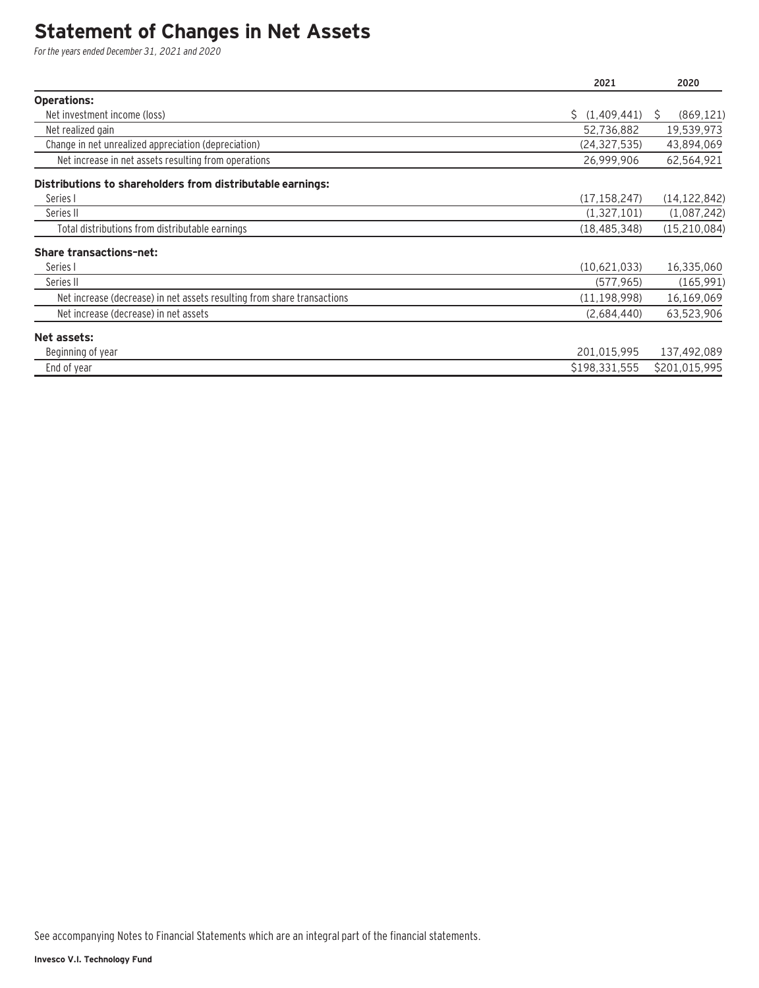### **Statement of Changes in Net Assets**

For the years ended December 31, 2021 and 2020

|                                                                         | 2021           | 2020            |
|-------------------------------------------------------------------------|----------------|-----------------|
| <b>Operations:</b>                                                      |                |                 |
| Net investment income (loss)                                            | \$(1,409,441)  | (869, 121)<br>S |
| Net realized gain                                                       | 52,736,882     | 19,539,973      |
| Change in net unrealized appreciation (depreciation)                    | (24, 327, 535) | 43,894,069      |
| Net increase in net assets resulting from operations                    | 26,999,906     | 62,564,921      |
| Distributions to shareholders from distributable earnings:              |                |                 |
| Series I                                                                | (17, 158, 247) | (14, 122, 842)  |
| Series II                                                               | (1,327,101)    | (1,087,242)     |
| Total distributions from distributable earnings                         | (18, 485, 348) | (15, 210, 084)  |
| <b>Share transactions-net:</b>                                          |                |                 |
| Series I                                                                | (10,621,033)   | 16,335,060      |
| Series II                                                               | (577, 965)     | (165, 991)      |
| Net increase (decrease) in net assets resulting from share transactions | (11, 198, 998) | 16,169,069      |
| Net increase (decrease) in net assets                                   | (2,684,440)    | 63,523,906      |
| Net assets:                                                             |                |                 |
| Beginning of year                                                       | 201,015,995    | 137,492,089     |
| End of year                                                             | \$198,331,555  | \$201,015,995   |

See accompanying Notes to Financial Statements which are an integral part of the financial statements.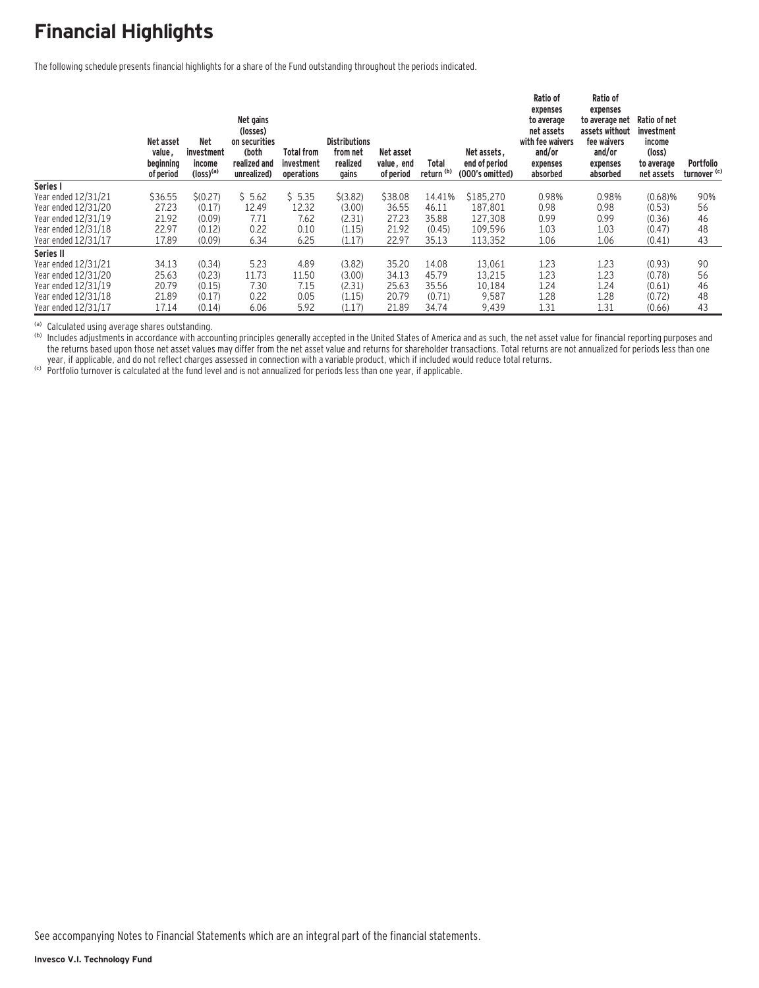# **Financial Highlights**

The following schedule presents financial highlights for a share of the Fund outstanding throughout the periods indicated.

|                     | Net asset<br>value,<br>beginning<br>of period | <b>Net</b><br>investment<br>income<br>$(logs)$ <sup>(a)</sup> | Net gains<br>(losses)<br>on securities<br>(both<br>realized and<br>unrealized) | <b>Total from</b><br>investment<br>operations | <b>Distributions</b><br>from net<br>realized<br>gains | Net asset<br>value, end<br>of period | Total<br>return <sup>(b)</sup> | Net assets,<br>end of period<br>(000's omitted) | Ratio of<br>expenses<br>to average<br>net assets<br>with fee waivers<br>and/or<br>expenses<br>absorbed | Ratio of<br>expenses<br>to average net<br>assets without<br>fee waivers<br>and/or<br>expenses<br>absorbed | Ratio of net<br>investment<br>income<br>(loss)<br>to average<br>net assets | <b>Portfolio</b><br>turnover <sup>(c)</sup> |
|---------------------|-----------------------------------------------|---------------------------------------------------------------|--------------------------------------------------------------------------------|-----------------------------------------------|-------------------------------------------------------|--------------------------------------|--------------------------------|-------------------------------------------------|--------------------------------------------------------------------------------------------------------|-----------------------------------------------------------------------------------------------------------|----------------------------------------------------------------------------|---------------------------------------------|
| Series I            |                                               |                                                               |                                                                                |                                               |                                                       |                                      |                                |                                                 |                                                                                                        |                                                                                                           |                                                                            |                                             |
| Year ended 12/31/21 | \$36.55                                       | \$(0.27)                                                      | \$5.62                                                                         | \$5.35                                        | \$(3.82)                                              | \$38.08                              | 14.41%                         | \$185,270                                       | 0.98%                                                                                                  | 0.98%                                                                                                     | $(0.68)$ %                                                                 | 90%                                         |
| Year ended 12/31/20 | 27.23                                         | (0.17)                                                        | 12.49                                                                          | 12.32                                         | (3.00)                                                | 36.55                                | 46.11                          | 187.801                                         | 0.98                                                                                                   | 0.98                                                                                                      | (0.53)                                                                     | 56                                          |
| Year ended 12/31/19 | 21.92                                         | (0.09)                                                        | 7.71                                                                           | 7.62                                          | (2.31)                                                | 27.23                                | 35.88                          | 127.308                                         | 0.99                                                                                                   | 0.99                                                                                                      | (0.36)                                                                     | 46                                          |
| Year ended 12/31/18 | 22.97                                         | (0.12)                                                        | 0.22                                                                           | 0.10                                          | (1.15)                                                | 21.92                                | (0.45)                         | 109.596                                         | 1.03                                                                                                   | 1.03                                                                                                      | (0.47)                                                                     | 48                                          |
| Year ended 12/31/17 | 17.89                                         | (0.09)                                                        | 6.34                                                                           | 6.25                                          | (1.17)                                                | 22.97                                | 35.13                          | 113,352                                         | 1.06                                                                                                   | 1.06                                                                                                      | (0.41)                                                                     | 43                                          |
| Series II           |                                               |                                                               |                                                                                |                                               |                                                       |                                      |                                |                                                 |                                                                                                        |                                                                                                           |                                                                            |                                             |
| Year ended 12/31/21 | 34.13                                         | (0.34)                                                        | 5.23                                                                           | 4.89                                          | (3.82)                                                | 35.20                                | 14.08                          | 13,061                                          | 1.23                                                                                                   | 1.23                                                                                                      | (0.93)                                                                     | 90                                          |
| Year ended 12/31/20 | 25.63                                         | (0.23)                                                        | 11.73                                                                          | 11.50                                         | (3.00)                                                | 34.13                                | 45.79                          | 13,215                                          | 1.23                                                                                                   | 1.23                                                                                                      | (0.78)                                                                     | 56                                          |
| Year ended 12/31/19 | 20.79                                         | (0.15)                                                        | 7.30                                                                           | 7.15                                          | (2.31)                                                | 25.63                                | 35.56                          | 10.184                                          | 1.24                                                                                                   | 1.24                                                                                                      | (0.61)                                                                     | 46                                          |
| Year ended 12/31/18 | 21.89                                         | (0.17)                                                        | 0.22                                                                           | 0.05                                          | (1.15)                                                | 20.79                                | (0.71)                         | 9,587                                           | 1.28                                                                                                   | 1.28                                                                                                      | (0.72)                                                                     | 48                                          |
| Year ended 12/31/17 | 17.14                                         | (0.14)                                                        | 6.06                                                                           | 5.92                                          | (1.17)                                                | 21.89                                | 34.74                          | 9,439                                           | 1.31                                                                                                   | 1.31                                                                                                      | (0.66)                                                                     | 43                                          |

(a) Calculated using average shares outstanding.<br>(b) Includes adjustments in accordance with accounting principles generally accepted in the United States of America and as such, the net asset value for financial reporting the returns based upon those net asset values may differ from the net asset value and returns for shareholder transactions. Total returns are not annualized for periods less than one year, if applicable, and do not reflect charges assessed in connection with a variable product, which if included would reduce total returns.<br>(c) Portfolio turnover is calculated at the fund level and is not annualized for

See accompanying Notes to Financial Statements which are an integral part of the financial statements.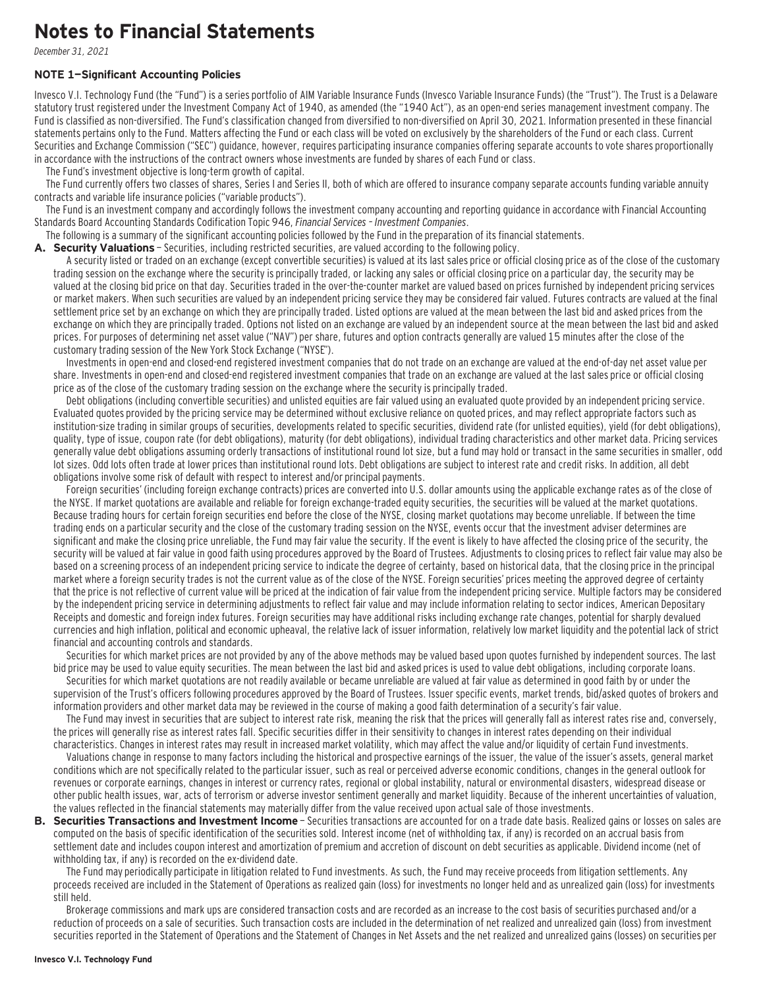### **Notes to Financial Statements**

December 31, 2021

#### **NOTE 1—Significant Accounting Policies**

Invesco V.I. Technology Fund (the "Fund") is a series portfolio of AIM Variable Insurance Funds (Invesco Variable Insurance Funds) (the "Trust"). The Trust is a Delaware statutory trust registered under the Investment Company Act of 1940, as amended (the "1940 Act"), as an open-end series management investment company. The Fund is classified as non-diversified. The Fund's classification changed from diversified to non-diversified on April 30, 2021. Information presented in these financial statements pertains only to the Fund. Matters affecting the Fund or each class will be voted on exclusively by the shareholders of the Fund or each class. Current Securities and Exchange Commission ("SEC") guidance, however, requires participating insurance companies offering separate accounts to vote shares proportionally in accordance with the instructions of the contract owners whose investments are funded by shares of each Fund or class.

The Fund's investment objective is long-term growth of capital.

The Fund currently offers two classes of shares, Series I and Series II, both of which are offered to insurance company separate accounts funding variable annuity contracts and variable life insurance policies ("variable products").

The Fund is an investment company and accordingly follows the investment company accounting and reporting guidance in accordance with Financial Accounting Standards Board Accounting Standards Codification Topic 946, Financial Services – Investment Companies.

The following is a summary of the significant accounting policies followed by the Fund in the preparation of its financial statements.

A. Security Valuations - Securities, including restricted securities, are valued according to the following policy.

A security listed or traded on an exchange (except convertible securities) is valued at its last sales price or official closing price as of the close of the customary trading session on the exchange where the security is principally traded, or lacking any sales or official closing price on a particular day, the security may be valued at the closing bid price on that day. Securities traded in the over-the-counter market are valued based on prices furnished by independent pricing services or market makers. When such securities are valued by an independent pricing service they may be considered fair valued. Futures contracts are valued at the final settlement price set by an exchange on which they are principally traded. Listed options are valued at the mean between the last bid and asked prices from the exchange on which they are principally traded. Options not listed on an exchange are valued by an independent source at the mean between the last bid and asked prices. For purposes of determining net asset value ("NAV") per share, futures and option contracts generally are valued 15 minutes after the close of the customary trading session of the New York Stock Exchange ("NYSE").

Investments in open-end and closed-end registered investment companies that do not trade on an exchange are valued at the end-of-day net asset value per share. Investments in open-end and closed-end registered investment companies that trade on an exchange are valued at the last sales price or official closing price as of the close of the customary trading session on the exchange where the security is principally traded.

Debt obligations (including convertible securities) and unlisted equities are fair valued using an evaluated quote provided by an independent pricing service. Evaluated quotes provided by the pricing service may be determined without exclusive reliance on quoted prices, and may reflect appropriate factors such as institution-size trading in similar groups of securities, developments related to specific securities, dividend rate (for unlisted equities), yield (for debt obligations), quality, type of issue, coupon rate (for debt obligations), maturity (for debt obligations), individual trading characteristics and other market data. Pricing services generally value debt obligations assuming orderly transactions of institutional round lot size, but a fund may hold or transact in the same securities in smaller, odd lot sizes. Odd lots often trade at lower prices than institutional round lots. Debt obligations are subject to interest rate and credit risks. In addition, all debt obligations involve some risk of default with respect to interest and/or principal payments.

Foreign securities' (including foreign exchange contracts) prices are converted into U.S. dollar amounts using the applicable exchange rates as of the close of the NYSE. If market quotations are available and reliable for foreign exchange-traded equity securities, the securities will be valued at the market quotations. Because trading hours for certain foreign securities end before the close of the NYSE, closing market quotations may become unreliable. If between the time trading ends on a particular security and the close of the customary trading session on the NYSE, events occur that the investment adviser determines are significant and make the closing price unreliable, the Fund may fair value the security. If the event is likely to have affected the closing price of the security, the security will be valued at fair value in good faith using procedures approved by the Board of Trustees. Adjustments to closing prices to reflect fair value may also be based on a screening process of an independent pricing service to indicate the degree of certainty, based on historical data, that the closing price in the principal market where a foreign security trades is not the current value as of the close of the NYSE. Foreign securities' prices meeting the approved degree of certainty that the price is not reflective of current value will be priced at the indication of fair value from the independent pricing service. Multiple factors may be considered by the independent pricing service in determining adjustments to reflect fair value and may include information relating to sector indices, American Depositary Receipts and domestic and foreign index futures. Foreign securities may have additional risks including exchange rate changes, potential for sharply devalued currencies and high inflation, political and economic upheaval, the relative lack of issuer information, relatively low market liquidity and the potential lack of strict financial and accounting controls and standards.

Securities for which market prices are not provided by any of the above methods may be valued based upon quotes furnished by independent sources. The last bid price may be used to value equity securities. The mean between the last bid and asked prices is used to value debt obligations, including corporate loans.

Securities for which market quotations are not readily available or became unreliable are valued at fair value as determined in good faith by or under the supervision of the Trust's officers following procedures approved by the Board of Trustees. Issuer specific events, market trends, bid/asked quotes of brokers and information providers and other market data may be reviewed in the course of making a good faith determination of a security's fair value.

The Fund may invest in securities that are subject to interest rate risk, meaning the risk that the prices will generally fall as interest rates rise and, conversely, the prices will generally rise as interest rates fall. Specific securities differ in their sensitivity to changes in interest rates depending on their individual characteristics. Changes in interest rates may result in increased market volatility, which may affect the value and/or liquidity of certain Fund investments.

Valuations change in response to many factors including the historical and prospective earnings of the issuer, the value of the issuer's assets, general market conditions which are not specifically related to the particular issuer, such as real or perceived adverse economic conditions, changes in the general outlook for revenues or corporate earnings, changes in interest or currency rates, regional or global instability, natural or environmental disasters, widespread disease or other public health issues, war, acts of terrorism or adverse investor sentiment generally and market liquidity. Because of the inherent uncertainties of valuation, the values reflected in the financial statements may materially differ from the value received upon actual sale of those investments.

**B. Securities Transactions and Investment Income** - Securities transactions are accounted for on a trade date basis. Realized gains or losses on sales are computed on the basis of specific identification of the securities sold. Interest income (net of withholding tax, if any) is recorded on an accrual basis from settlement date and includes coupon interest and amortization of premium and accretion of discount on debt securities as applicable. Dividend income (net of withholding tax, if any) is recorded on the ex-dividend date.

The Fund may periodically participate in litigation related to Fund investments. As such, the Fund may receive proceeds from litigation settlements. Any proceeds received are included in the Statement of Operations as realized gain (loss) for investments no longer held and as unrealized gain (loss) for investments still held.

Brokerage commissions and mark ups are considered transaction costs and are recorded as an increase to the cost basis of securities purchased and/or a reduction of proceeds on a sale of securities. Such transaction costs are included in the determination of net realized and unrealized gain (loss) from investment securities reported in the Statement of Operations and the Statement of Changes in Net Assets and the net realized and unrealized gains (losses) on securities per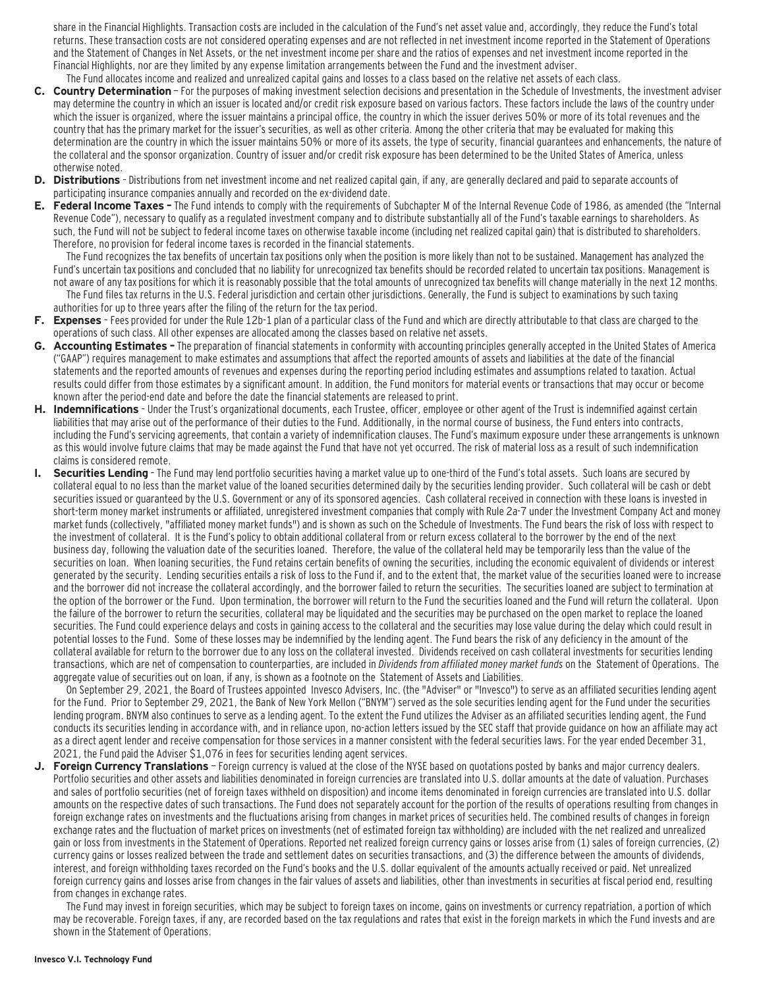share in the Financial Highlights. Transaction costs are included in the calculation of the Fund's net asset value and, accordingly, they reduce the Fund's total returns. These transaction costs are not considered operating expenses and are not reflected in net investment income reported in the Statement of Operations and the Statement of Changes in Net Assets, or the net investment income per share and the ratios of expenses and net investment income reported in the Financial Highlights, nor are they limited by any expense limitation arrangements between the Fund and the investment adviser.

- The Fund allocates income and realized and unrealized capital gains and losses to a class based on the relative net assets of each class. **C. Country Determination** — For the purposes of making investment selection decisions and presentation in the Schedule of Investments, the investment adviser may determine the country in which an issuer is located and/or credit risk exposure based on various factors. These factors include the laws of the country under which the issuer is organized, where the issuer maintains a principal office, the country in which the issuer derives 50% or more of its total revenues and the country that has the primary market for the issuer's securities, as well as other criteria. Among the other criteria that may be evaluated for making this determination are the country in which the issuer maintains 50% or more of its assets, the type of security, financial guarantees and enhancements, the nature of the collateral and the sponsor organization. Country of issuer and/or credit risk exposure has been determined to be the United States of America, unless otherwise noted.
- **D. Distributions**  Distributions from net investment income and net realized capital gain, if any, are generally declared and paid to separate accounts of participating insurance companies annually and recorded on the ex-dividend date.
- **E. Federal Income Taxes** The Fund intends to comply with the requirements of Subchapter M of the Internal Revenue Code of 1986, as amended (the "Internal Revenue Code"), necessary to qualify as a regulated investment company and to distribute substantially all of the Fund's taxable earnings to shareholders. As such, the Fund will not be subject to federal income taxes on otherwise taxable income (including net realized capital gain) that is distributed to shareholders. Therefore, no provision for federal income taxes is recorded in the financial statements.

The Fund recognizes the tax benefits of uncertain tax positions only when the position is more likely than not to be sustained. Management has analyzed the Fund's uncertain tax positions and concluded that no liability for unrecognized tax benefits should be recorded related to uncertain tax positions. Management is not aware of any tax positions for which it is reasonably possible that the total amounts of unrecognized tax benefits will change materially in the next 12 months. The Fund files tax returns in the U.S. Federal jurisdiction and certain other jurisdictions. Generally, the Fund is subject to examinations by such taxing authorities for up to three years after the filing of the return for the tax period.

- **F. Expenses**  Fees provided for under the Rule 12b-1 plan of a particular class of the Fund and which are directly attributable to that class are charged to the operations of such class. All other expenses are allocated among the classes based on relative net assets.
- **G. Accounting Estimates** The preparation of financial statements in conformity with accounting principles generally accepted in the United States of America ("GAAP") requires management to make estimates and assumptions that affect the reported amounts of assets and liabilities at the date of the financial statements and the reported amounts of revenues and expenses during the reporting period including estimates and assumptions related to taxation. Actual results could differ from those estimates by a significant amount. In addition, the Fund monitors for material events or transactions that may occur or become known after the period-end date and before the date the financial statements are released to print.
- **H. Indemnifications**  Under the Trust's organizational documents, each Trustee, officer, employee or other agent of the Trust is indemnified against certain liabilities that may arise out of the performance of their duties to the Fund. Additionally, in the normal course of business, the Fund enters into contracts, including the Fund's servicing agreements, that contain a variety of indemnification clauses. The Fund's maximum exposure under these arrangements is unknown as this would involve future claims that may be made against the Fund that have not yet occurred. The risk of material loss as a result of such indemnification claims is considered remote.
- **I. Securities Lending**  The Fund may lend portfolio securities having a market value up to one-third of the Fund's total assets. Such loans are secured by collateral equal to no less than the market value of the loaned securities determined daily by the securities lending provider. Such collateral will be cash or debt securities issued or guaranteed by the U.S. Government or any of its sponsored agencies. Cash collateral received in connection with these loans is invested in short-term money market instruments or affiliated, unregistered investment companies that comply with Rule 2a-7 under the Investment Company Act and money market funds (collectively, "affiliated money market funds") and is shown as such on the Schedule of Investments. The Fund bears the risk of loss with respect to the investment of collateral. It is the Fund's policy to obtain additional collateral from or return excess collateral to the borrower by the end of the next business day, following the valuation date of the securities loaned. Therefore, the value of the collateral held may be temporarily less than the value of the securities on loan. When loaning securities, the Fund retains certain benefits of owning the securities, including the economic equivalent of dividends or interest generated by the security. Lending securities entails a risk of loss to the Fund if, and to the extent that, the market value of the securities loaned were to increase and the borrower did not increase the collateral accordingly, and the borrower failed to return the securities. The securities loaned are subject to termination at the option of the borrower or the Fund. Upon termination, the borrower will return to the Fund the securities loaned and the Fund will return the collateral. Upon the failure of the borrower to return the securities, collateral may be liquidated and the securities may be purchased on the open market to replace the loaned securities. The Fund could experience delays and costs in gaining access to the collateral and the securities may lose value during the delay which could result in potential losses to the Fund. Some of these losses may be indemnified by the lending agent. The Fund bears the risk of any deficiency in the amount of the collateral available for return to the borrower due to any loss on the collateral invested. Dividends received on cash collateral investments for securities lending transactions, which are net of compensation to counterparties, are included in Dividends from affiliated money market funds on the Statement of Operations. The aggregate value of securities out on loan, if any, is shown as a footnote on the Statement of Assets and Liabilities.

On September 29, 2021, the Board of Trustees appointed Invesco Advisers, Inc. (the "Adviser" or "Invesco") to serve as an affiliated securities lending agent for the Fund. Prior to September 29, 2021, the Bank of New York Mellon ("BNYM") served as the sole securities lending agent for the Fund under the securities lending program. BNYM also continues to serve as a lending agent. To the extent the Fund utilizes the Adviser as an affiliated securities lending agent, the Fund conducts its securities lending in accordance with, and in reliance upon, no-action letters issued by the SEC staff that provide guidance on how an affiliate may act as a direct agent lender and receive compensation for those services in a manner consistent with the federal securities laws. For the year ended December 31, 2021, the Fund paid the Adviser \$1,076 in fees for securities lending agent services.

**J. Foreign Currency Translations** — Foreign currency is valued at the close of the NYSE based on quotations posted by banks and major currency dealers. Portfolio securities and other assets and liabilities denominated in foreign currencies are translated into U.S. dollar amounts at the date of valuation. Purchases and sales of portfolio securities (net of foreign taxes withheld on disposition) and income items denominated in foreign currencies are translated into U.S. dollar amounts on the respective dates of such transactions. The Fund does not separately account for the portion of the results of operations resulting from changes in foreign exchange rates on investments and the fluctuations arising from changes in market prices of securities held. The combined results of changes in foreign exchange rates and the fluctuation of market prices on investments (net of estimated foreign tax withholding) are included with the net realized and unrealized gain or loss from investments in the Statement of Operations. Reported net realized foreign currency gains or losses arise from (1) sales of foreign currencies, (2) currency gains or losses realized between the trade and settlement dates on securities transactions, and (3) the difference between the amounts of dividends, interest, and foreign withholding taxes recorded on the Fund's books and the U.S. dollar equivalent of the amounts actually received or paid. Net unrealized foreign currency gains and losses arise from changes in the fair values of assets and liabilities, other than investments in securities at fiscal period end, resulting from changes in exchange rates.

The Fund may invest in foreign securities, which may be subject to foreign taxes on income, gains on investments or currency repatriation, a portion of which may be recoverable. Foreign taxes, if any, are recorded based on the tax regulations and rates that exist in the foreign markets in which the Fund invests and are shown in the Statement of Operations.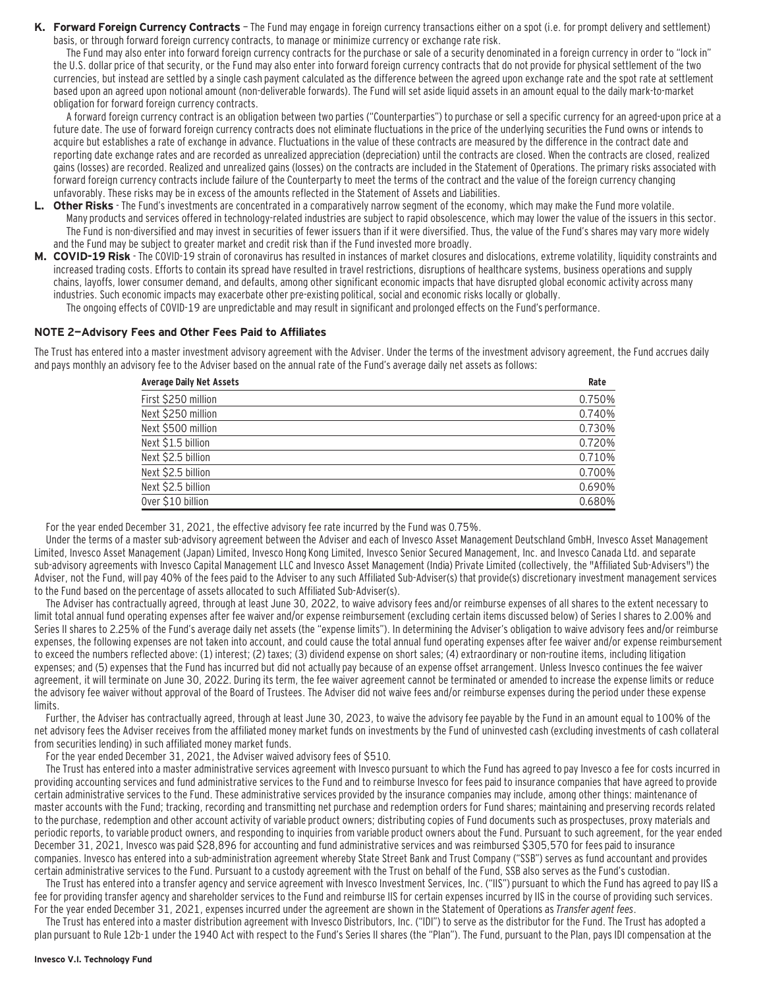**K. Forward Foreign Currency Contracts** — The Fund may engage in foreign currency transactions either on a spot (i.e. for prompt delivery and settlement) basis, or through forward foreign currency contracts, to manage or minimize currency or exchange rate risk.

The Fund may also enter into forward foreign currency contracts for the purchase or sale of a security denominated in a foreign currency in order to "lock in" the U.S. dollar price of that security, or the Fund may also enter into forward foreign currency contracts that do not provide for physical settlement of the two currencies, but instead are settled by a single cash payment calculated as the difference between the agreed upon exchange rate and the spot rate at settlement based upon an agreed upon notional amount (non-deliverable forwards). The Fund will set aside liquid assets in an amount equal to the daily mark-to-market obligation for forward foreign currency contracts.

A forward foreign currency contract is an obligation between two parties ("Counterparties") to purchase or sell a specific currency for an agreed-upon price at a future date. The use of forward foreign currency contracts does not eliminate fluctuations in the price of the underlying securities the Fund owns or intends to acquire but establishes a rate of exchange in advance. Fluctuations in the value of these contracts are measured by the difference in the contract date and reporting date exchange rates and are recorded as unrealized appreciation (depreciation) until the contracts are closed. When the contracts are closed, realized gains (losses) are recorded. Realized and unrealized gains (losses) on the contracts are included in the Statement of Operations. The primary risks associated with forward foreign currency contracts include failure of the Counterparty to meet the terms of the contract and the value of the foreign currency changing unfavorably. These risks may be in excess of the amounts reflected in the Statement of Assets and Liabilities.

- **L. Other Risks**  The Fund's investments are concentrated in a comparatively narrow segment of the economy, which may make the Fund more volatile. Many products and services offered in technology-related industries are subject to rapid obsolescence, which may lower the value of the issuers in this sector. The Fund is non-diversified and may invest in securities of fewer issuers than if it were diversified. Thus, the value of the Fund's shares may vary more widely and the Fund may be subject to greater market and credit risk than if the Fund invested more broadly.
- **M. COVID-19 Risk**  The COVID-19 strain of coronavirus has resulted in instances of market closures and dislocations, extreme volatility, liquidity constraints and increased trading costs. Efforts to contain its spread have resulted in travel restrictions, disruptions of healthcare systems, business operations and supply chains, layoffs, lower consumer demand, and defaults, among other significant economic impacts that have disrupted global economic activity across many industries. Such economic impacts may exacerbate other pre-existing political, social and economic risks locally or globally.

The ongoing effects of COVID-19 are unpredictable and may result in significant and prolonged effects on the Fund's performance.

#### **NOTE 2—Advisory Fees and Other Fees Paid to Affiliates**

The Trust has entered into a master investment advisory agreement with the Adviser. Under the terms of the investment advisory agreement, the Fund accrues daily and pays monthly an advisory fee to the Adviser based on the annual rate of the Fund's average daily net assets as follows:

| <b>Average Daily Net Assets</b> | Rate   |
|---------------------------------|--------|
| First \$250 million             | 0.750% |
| Next \$250 million              | 0.740% |
| Next \$500 million              | 0.730% |
| Next \$1.5 billion              | 0.720% |
| Next \$2.5 billion              | 0.710% |
| Next \$2.5 billion              | 0.700% |
| Next \$2.5 billion              | 0.690% |
| Over \$10 billion               | 0.680% |

For the year ended December 31, 2021, the effective advisory fee rate incurred by the Fund was 0.75%.

Under the terms of a master sub-advisory agreement between the Adviser and each of Invesco Asset Management Deutschland GmbH, Invesco Asset Management Limited, Invesco Asset Management (Japan) Limited, Invesco Hong Kong Limited, Invesco Senior Secured Management, Inc. and Invesco Canada Ltd. and separate sub-advisory agreements with Invesco Capital Management LLC and Invesco Asset Management (India) Private Limited (collectively, the "Affiliated Sub-Advisers") the Adviser, not the Fund, will pay 40% of the fees paid to the Adviser to any such Affiliated Sub-Adviser(s) that provide(s) discretionary investment management services to the Fund based on the percentage of assets allocated to such Affiliated Sub-Adviser(s).

The Adviser has contractually agreed, through at least June 30, 2022, to waive advisory fees and/or reimburse expenses of all shares to the extent necessary to limit total annual fund operating expenses after fee waiver and/or expense reimbursement (excluding certain items discussed below) of Series I shares to 2.00% and Series II shares to 2.25% of the Fund's average daily net assets (the "expense limits"). In determining the Adviser's obligation to waive advisory fees and/or reimburse expenses, the following expenses are not taken into account, and could cause the total annual fund operating expenses after fee waiver and/or expense reimbursement to exceed the numbers reflected above: (1) interest; (2) taxes; (3) dividend expense on short sales; (4) extraordinary or non-routine items, including litigation expenses; and (5) expenses that the Fund has incurred but did not actually pay because of an expense offset arrangement. Unless Invesco continues the fee waiver agreement, it will terminate on June 30, 2022. During its term, the fee waiver agreement cannot be terminated or amended to increase the expense limits or reduce the advisory fee waiver without approval of the Board of Trustees. The Adviser did not waive fees and/or reimburse expenses during the period under these expense limits.

Further, the Adviser has contractually agreed, through at least June 30, 2023, to waive the advisory fee payable by the Fund in an amount equal to 100% of the net advisory fees the Adviser receives from the affiliated money market funds on investments by the Fund of uninvested cash (excluding investments of cash collateral from securities lending) in such affiliated money market funds.

For the year ended December 31, 2021, the Adviser waived advisory fees of \$510.

The Trust has entered into a master administrative services agreement with Invesco pursuant to which the Fund has agreed to pay Invesco a fee for costs incurred in providing accounting services and fund administrative services to the Fund and to reimburse Invesco for fees paid to insurance companies that have agreed to provide certain administrative services to the Fund. These administrative services provided by the insurance companies may include, among other things: maintenance of master accounts with the Fund; tracking, recording and transmitting net purchase and redemption orders for Fund shares; maintaining and preserving records related to the purchase, redemption and other account activity of variable product owners; distributing copies of Fund documents such as prospectuses, proxy materials and periodic reports, to variable product owners, and responding to inquiries from variable product owners about the Fund. Pursuant to such agreement, for the year ended December 31, 2021, Invesco was paid \$28,896 for accounting and fund administrative services and was reimbursed \$305,570 for fees paid to insurance companies. Invesco has entered into a sub-administration agreement whereby State Street Bank and Trust Company ("SSB") serves as fund accountant and provides certain administrative services to the Fund. Pursuant to a custody agreement with the Trust on behalf of the Fund, SSB also serves as the Fund's custodian.

The Trust has entered into a transfer agency and service agreement with Invesco Investment Services, Inc. ("IIS") pursuant to which the Fund has agreed to pay IIS a fee for providing transfer agency and shareholder services to the Fund and reimburse IIS for certain expenses incurred by IIS in the course of providing such services. For the year ended December 31, 2021, expenses incurred under the agreement are shown in the Statement of Operations as Transfer agent fees.

The Trust has entered into a master distribution agreement with Invesco Distributors, Inc. ("IDI") to serve as the distributor for the Fund. The Trust has adopted a plan pursuant to Rule 12b-1 under the 1940 Act with respect to the Fund's Series II shares (the "Plan"). The Fund, pursuant to the Plan, pays IDI compensation at the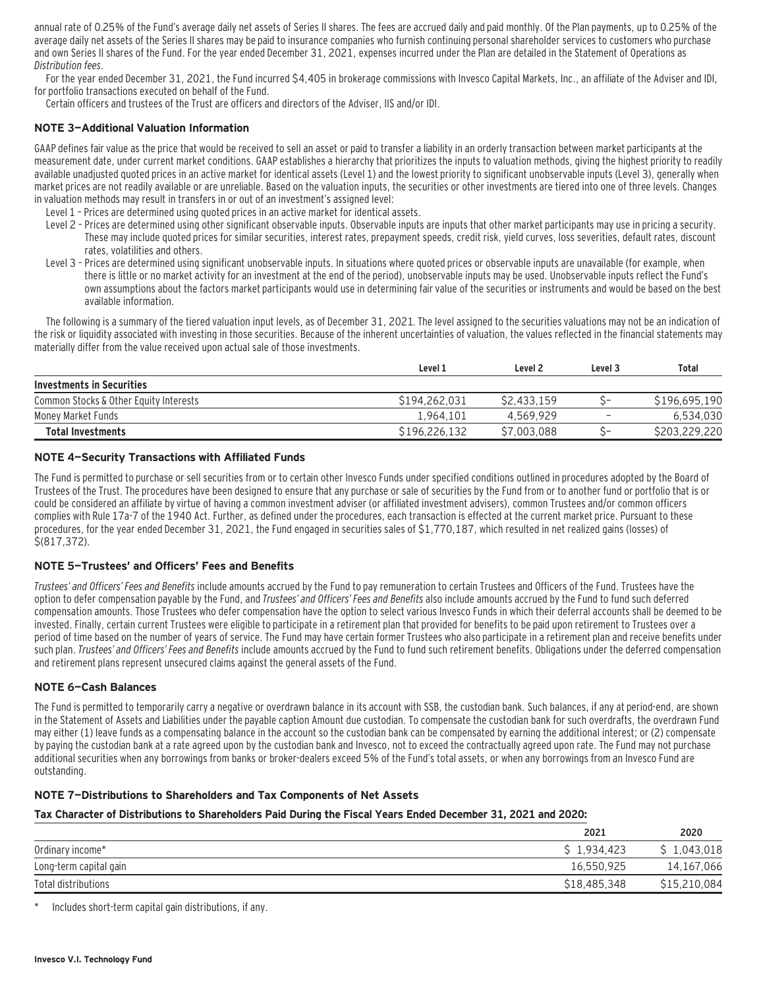annual rate of 0.25% of the Fund's average daily net assets of Series II shares. The fees are accrued daily and paid monthly. Of the Plan payments, up to 0.25% of the average daily net assets of the Series II shares may be paid to insurance companies who furnish continuing personal shareholder services to customers who purchase and own Series II shares of the Fund. For the year ended December 31, 2021, expenses incurred under the Plan are detailed in the Statement of Operations as Distribution fees.

For the year ended December 31, 2021, the Fund incurred \$4,405 in brokerage commissions with Invesco Capital Markets, Inc., an affiliate of the Adviser and IDI, for portfolio transactions executed on behalf of the Fund.

Certain officers and trustees of the Trust are officers and directors of the Adviser, IIS and/or IDI.

#### **NOTE 3—Additional Valuation Information**

GAAP defines fair value as the price that would be received to sell an asset or paid to transfer a liability in an orderly transaction between market participants at the measurement date, under current market conditions. GAAP establishes a hierarchy that prioritizes the inputs to valuation methods, giving the highest priority to readily available unadjusted quoted prices in an active market for identical assets (Level 1) and the lowest priority to significant unobservable inputs (Level 3), generally when market prices are not readily available or are unreliable. Based on the valuation inputs, the securities or other investments are tiered into one of three levels. Changes in valuation methods may result in transfers in or out of an investment's assigned level:

- Level 1 Prices are determined using quoted prices in an active market for identical assets.
- Level 2 Prices are determined using other significant observable inputs. Observable inputs that other market participants may use in pricing a security. These may include quoted prices for similar securities, interest rates, prepayment speeds, credit risk, yield curves, loss severities, default rates, discount rates, volatilities and others.
- Level 3 Prices are determined using significant unobservable inputs. In situations where quoted prices or observable inputs are unavailable (for example, when there is little or no market activity for an investment at the end of the period), unobservable inputs may be used. Unobservable inputs reflect the Fund's own assumptions about the factors market participants would use in determining fair value of the securities or instruments and would be based on the best available information.

The following is a summary of the tiered valuation input levels, as of December 31, 2021. The level assigned to the securities valuations may not be an indication of the risk or liquidity associated with investing in those securities. Because of the inherent uncertainties of valuation, the values reflected in the financial statements may materially differ from the value received upon actual sale of those investments.

|                                        | Level 2<br>Level 1 |             | Level 3                  | Total         |  |
|----------------------------------------|--------------------|-------------|--------------------------|---------------|--|
| Investments in Securities              |                    |             |                          |               |  |
| Common Stocks & Other Equity Interests | \$194.262.031      | \$2,433.159 | ~-                       | \$196.695.190 |  |
| Monev Market Funds                     | 1.964.101          | 4.569.929   | $\overline{\phantom{0}}$ | 6,534,030     |  |
| <b>Total Investments</b>               | \$196,226,132      | S7.003.088  |                          | \$203,229,220 |  |

#### **NOTE 4—Security Transactions with Affiliated Funds**

The Fund is permitted to purchase or sell securities from or to certain other Invesco Funds under specified conditions outlined in procedures adopted by the Board of Trustees of the Trust. The procedures have been designed to ensure that any purchase or sale of securities by the Fund from or to another fund or portfolio that is or could be considered an affiliate by virtue of having a common investment adviser (or affiliated investment advisers), common Trustees and/or common officers complies with Rule 17a-7 of the 1940 Act. Further, as defined under the procedures, each transaction is effected at the current market price. Pursuant to these procedures, for the year ended December 31, 2021, the Fund engaged in securities sales of \$1,770,187, which resulted in net realized gains (losses) of \$(817,372).

#### **NOTE 5—Trustees' and Officers' Fees and Benefits**

Trustees' and Officers' Fees and Benefits include amounts accrued by the Fund to pay remuneration to certain Trustees and Officers of the Fund. Trustees have the option to defer compensation payable by the Fund, and Trustees' and Officers' Fees and Benefits also include amounts accrued by the Fund to fund such deferred compensation amounts. Those Trustees who defer compensation have the option to select various Invesco Funds in which their deferral accounts shall be deemed to be invested. Finally, certain current Trustees were eligible to participate in a retirement plan that provided for benefits to be paid upon retirement to Trustees over a period of time based on the number of years of service. The Fund may have certain former Trustees who also participate in a retirement plan and receive benefits under such plan. Trustees' and Officers' Fees and Benefits include amounts accrued by the Fund to fund such retirement benefits. Obligations under the deferred compensation and retirement plans represent unsecured claims against the general assets of the Fund.

#### **NOTE 6—Cash Balances**

The Fund is permitted to temporarily carry a negative or overdrawn balance in its account with SSB, the custodian bank. Such balances, if any at period-end, are shown in the Statement of Assets and Liabilities under the payable caption Amount due custodian. To compensate the custodian bank for such overdrafts, the overdrawn Fund may either (1) leave funds as a compensating balance in the account so the custodian bank can be compensated by earning the additional interest; or (2) compensate by paying the custodian bank at a rate agreed upon by the custodian bank and Invesco, not to exceed the contractually agreed upon rate. The Fund may not purchase additional securities when any borrowings from banks or broker-dealers exceed 5% of the Fund's total assets, or when any borrowings from an Invesco Fund are outstanding.

#### **NOTE 7—Distributions to Shareholders and Tax Components of Net Assets**

#### **Tax Character of Distributions to Shareholders Paid During the Fiscal Years Ended December 31, 2021 and 2020:**

|                        | 2021         | 2020         |
|------------------------|--------------|--------------|
| Ordinary income*       | \$1.934.423  | \$1,043,018  |
| Long-term capital gain | 16.550.925   | 14,167,066   |
| Total distributions    | \$18,485,348 | \$15,210,084 |

Includes short-term capital gain distributions, if any.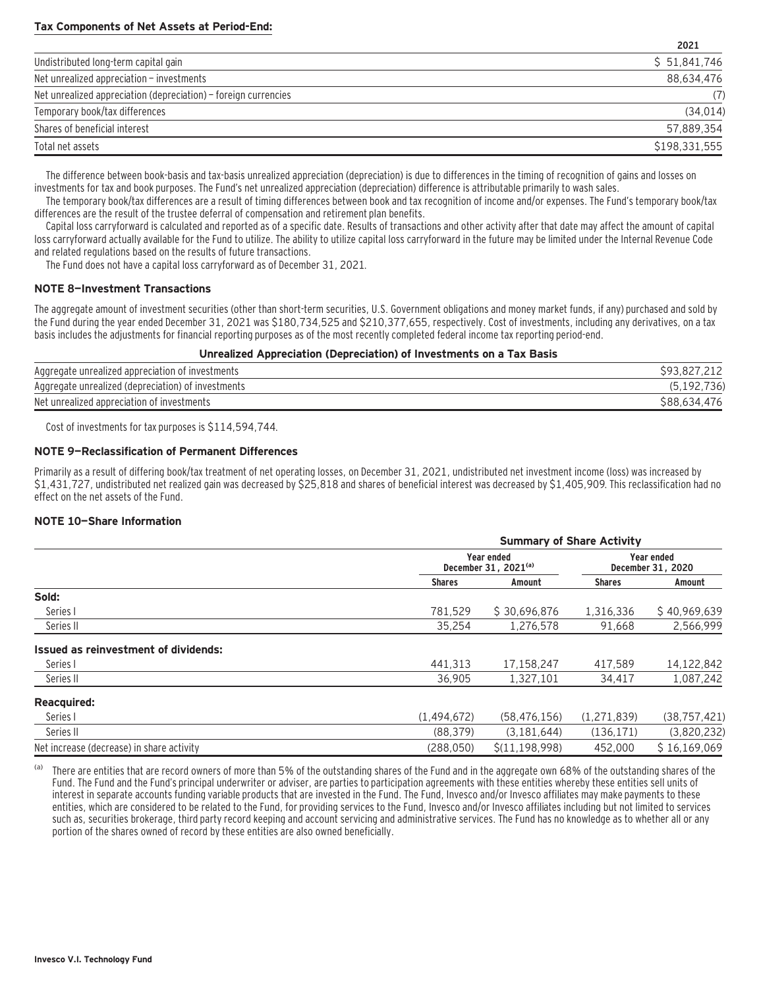### **Tax Components of Net Assets at Period-End:**

|                                                                 | <b>ZUZI</b>   |
|-----------------------------------------------------------------|---------------|
| Undistributed long-term capital gain                            | \$51,841,746  |
| Net unrealized appreciation - investments                       | 88.634.476    |
| Net unrealized appreciation (depreciation) – foreign currencies | (7)           |
| Temporary book/tax differences                                  | (34, 014)     |
| Shares of beneficial interest                                   | 57,889,354    |
| Total net assets                                                | \$198.331.555 |

**2021**

The difference between book-basis and tax-basis unrealized appreciation (depreciation) is due to differences in the timing of recognition of gains and losses on investments for tax and book purposes. The Fund's net unrealized appreciation (depreciation) difference is attributable primarily to wash sales.

The temporary book/tax differences are a result of timing differences between book and tax recognition of income and/or expenses. The Fund's temporary book/tax differences are the result of the trustee deferral of compensation and retirement plan benefits.

Capital loss carryforward is calculated and reported as of a specific date. Results of transactions and other activity after that date may affect the amount of capital loss carryforward actually available for the Fund to utilize. The ability to utilize capital loss carryforward in the future may be limited under the Internal Revenue Code and related regulations based on the results of future transactions.

The Fund does not have a capital loss carryforward as of December 31, 2021.

#### **NOTE 8—Investment Transactions**

The aggregate amount of investment securities (other than short-term securities, U.S. Government obligations and money market funds, if any) purchased and sold by the Fund during the year ended December 31, 2021 was \$180,734,525 and \$210,377,655, respectively. Cost of investments, including any derivatives, on a tax basis includes the adjustments for financial reporting purposes as of the most recently completed federal income tax reporting period-end.

#### **Unrealized Appreciation (Depreciation) of Investments on a Tax Basis**

| Aggregate unrealized appreciation of investments   |        |
|----------------------------------------------------|--------|
| Aggregate unrealized (depreciation) of investments |        |
| Net unrealized appreciation of investments         | S88.65 |

Cost of investments for tax purposes is \$114,594,744.

#### **NOTE 9—Reclassification of Permanent Differences**

Primarily as a result of differing book/tax treatment of net operating losses, on December 31, 2021, undistributed net investment income (loss) was increased by \$1,431,727, undistributed net realized gain was decreased by \$25,818 and shares of beneficial interest was decreased by \$1,405,909. This reclassification had no effect on the net assets of the Fund.

#### **NOTE 10—Share Information**

|                                           |               | <b>Summary of Share Activity</b>               |               |                                 |  |  |  |
|-------------------------------------------|---------------|------------------------------------------------|---------------|---------------------------------|--|--|--|
|                                           |               | Year ended<br>December 31, 2021 <sup>(a)</sup> |               | Year ended<br>December 31, 2020 |  |  |  |
|                                           | <b>Shares</b> | Amount                                         | <b>Shares</b> | Amount                          |  |  |  |
| Sold:                                     |               |                                                |               |                                 |  |  |  |
| Series I                                  | 781.529       | \$30.696.876                                   | 1.316.336     | \$40,969,639                    |  |  |  |
| Series II                                 | 35.254        | 1,276,578                                      | 91,668        | 2,566,999                       |  |  |  |
| Issued as reinvestment of dividends:      |               |                                                |               |                                 |  |  |  |
| Series I                                  | 441.313       | 17,158,247                                     | 417.589       | 14,122,842                      |  |  |  |
| Series II                                 | 36.905        | 1,327,101                                      | 34,417        | 1,087,242                       |  |  |  |
| <b>Reacquired:</b>                        |               |                                                |               |                                 |  |  |  |
| Series I                                  | (1,494,672)   | (58, 476, 156)                                 | (1,271,839)   | (38, 757, 421)                  |  |  |  |
| Series II                                 | (88, 379)     | (3, 181, 644)                                  | (136, 171)    | (3,820,232)                     |  |  |  |
| Net increase (decrease) in share activity | (288.050)     | S(11.198.998)                                  | 452.000       | \$16,169,069                    |  |  |  |

(a) There are entities that are record owners of more than 5% of the outstanding shares of the Fund and in the aggregate own 68% of the outstanding shares of the Fund. The Fund and the Fund's principal underwriter or adviser, are parties to participation agreements with these entities whereby these entities sell units of interest in separate accounts funding variable products that are invested in the Fund. The Fund, Invesco and/or Invesco affiliates may make payments to these entities, which are considered to be related to the Fund, for providing services to the Fund, Invesco and/or Invesco affiliates including but not limited to services such as, securities brokerage, third party record keeping and account servicing and administrative services. The Fund has no knowledge as to whether all or any portion of the shares owned of record by these entities are also owned beneficially.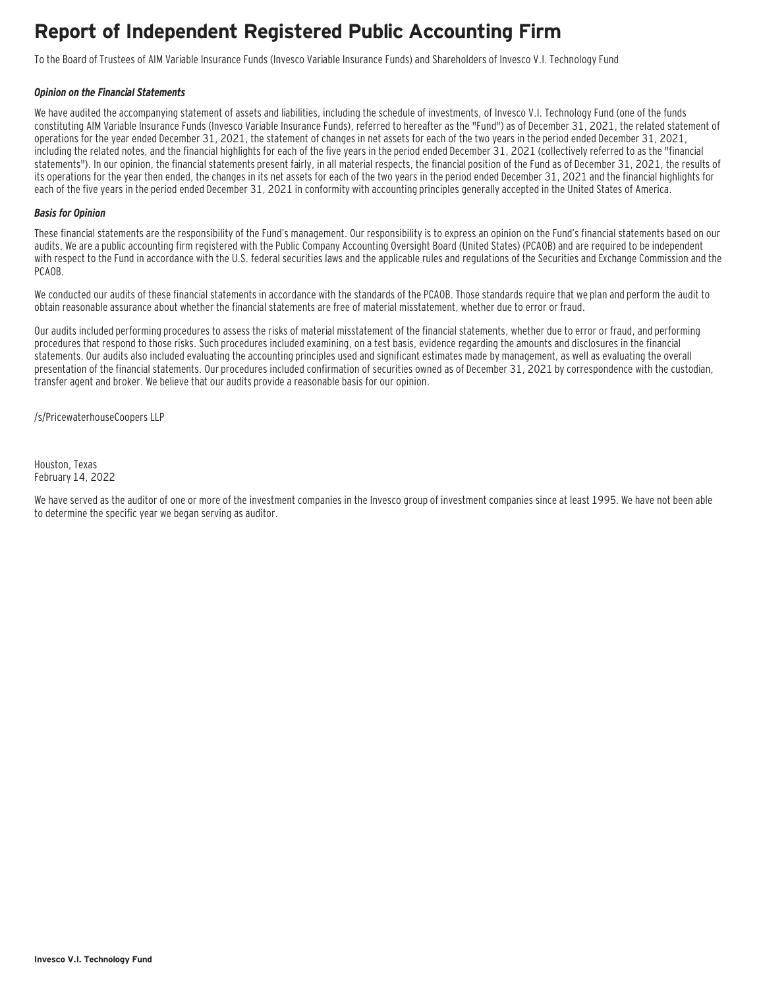### **Report of Independent Registered Public Accounting Firm**

To the Board of Trustees of AIM Variable Insurance Funds (Invesco Variable Insurance Funds) and Shareholders of Invesco V.I. Technology Fund

#### **Opinion on the Financial Statements**

We have audited the accompanying statement of assets and liabilities, including the schedule of investments, of Invesco V.I. Technology Fund (one of the funds constituting AIM Variable Insurance Funds (Invesco Variable Insurance Funds), referred to hereafter as the "Fund") as of December 31, 2021, the related statement of operations for the year ended December 31, 2021, the statement of changes in net assets for each of the two years in the period ended December 31, 2021, including the related notes, and the financial highlights for each of the five years in the period ended December 31, 2021 (collectively referred to as the "financial statements"). In our opinion, the financial statements present fairly, in all material respects, the financial position of the Fund as of December 31, 2021, the results of its operations for the year then ended, the changes in its net assets for each of the two years in the period ended December 31, 2021 and the financial highlights for each of the five years in the period ended December 31, 2021 in conformity with accounting principles generally accepted in the United States of America.

#### **Basis for Opinion**

These financial statements are the responsibility of the Fund's management. Our responsibility is to express an opinion on the Fund's financial statements based on our audits. We are a public accounting firm registered with the Public Company Accounting Oversight Board (United States) (PCAOB) and are required to be independent with respect to the Fund in accordance with the U.S. federal securities laws and the applicable rules and regulations of the Securities and Exchange Commission and the PCAOB.

We conducted our audits of these financial statements in accordance with the standards of the PCAOB. Those standards require that we plan and perform the audit to obtain reasonable assurance about whether the financial statements are free of material misstatement, whether due to error or fraud.

Our audits included performing procedures to assess the risks of material misstatement of the financial statements, whether due to error or fraud, and performing procedures that respond to those risks. Such procedures included examining, on a test basis, evidence regarding the amounts and disclosures in the financial statements. Our audits also included evaluating the accounting principles used and significant estimates made by management, as well as evaluating the overall presentation of the financial statements. Our procedures included confirmation of securities owned as of December 31, 2021 by correspondence with the custodian, transfer agent and broker. We believe that our audits provide a reasonable basis for our opinion.

/s/PricewaterhouseCoopers LLP

Houston, Texas February 14, 2022

We have served as the auditor of one or more of the investment companies in the Invesco group of investment companies since at least 1995. We have not been able to determine the specific year we began serving as auditor.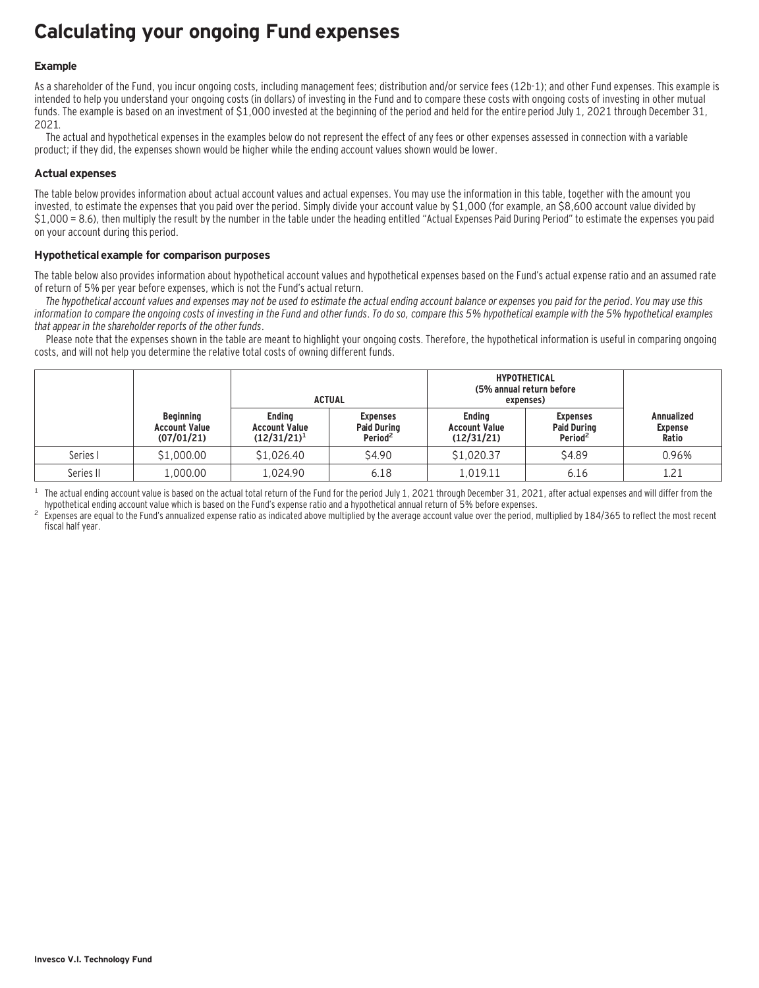# **Calculating your ongoing Fund expenses**

### **Example**

As a shareholder of the Fund, you incur ongoing costs, including management fees; distribution and/or service fees (12b-1); and other Fund expenses. This example is intended to help you understand your ongoing costs (in dollars) of investing in the Fund and to compare these costs with ongoing costs of investing in other mutual funds. The example is based on an investment of \$1,000 invested at the beginning of the period and held for the entire period July 1, 2021 through December 31, 2021.

The actual and hypothetical expenses in the examples below do not represent the effect of any fees or other expenses assessed in connection with a variable product; if they did, the expenses shown would be higher while the ending account values shown would be lower.

#### **Actual expenses**

The table below provides information about actual account values and actual expenses. You may use the information in this table, together with the amount you invested, to estimate the expenses that you paid over the period. Simply divide your account value by \$1,000 (for example, an \$8,600 account value divided by \$1,000 = 8.6), then multiply the result by the number in the table under the heading entitled "Actual Expenses Paid During Period" to estimate the expenses you paid on your account during this period.

#### **Hypothetical example for comparison purposes**

The table below also provides information about hypothetical account values and hypothetical expenses based on the Fund's actual expense ratio and an assumed rate of return of 5% per year before expenses, which is not the Fund's actual return.

The hypothetical account values and expenses may not be used to estimate the actual ending account balance or expenses you paid for the period. You may use this information to compare the ongoing costs of investing in the Fund and other funds. To do so, compare this 5% hypothetical example with the 5% hypothetical examples that appear in the shareholder reports of the other funds.

Please note that the expenses shown in the table are meant to highlight your ongoing costs. Therefore, the hypothetical information is useful in comparing ongoing costs, and will not help you determine the relative total costs of owning different funds.

|           |                                                        |                                                         | <b>ACTUAL</b>                                                | <b>HYPOTHETICAL</b><br>(5% annual return before<br>expenses) |                                                              |                                              |
|-----------|--------------------------------------------------------|---------------------------------------------------------|--------------------------------------------------------------|--------------------------------------------------------------|--------------------------------------------------------------|----------------------------------------------|
|           | <b>Beginning</b><br><b>Account Value</b><br>(07/01/21) | <b>Ending</b><br><b>Account Value</b><br>$(12/31/21)^1$ | <b>Expenses</b><br><b>Paid During</b><br>Period <sup>2</sup> | <b>Ending</b><br><b>Account Value</b><br>(12/31/21)          | <b>Expenses</b><br><b>Paid During</b><br>Period <sup>2</sup> | <b>Annualized</b><br><b>Expense</b><br>Ratio |
| Series I  | \$1,000.00                                             | \$1,026.40                                              | \$4.90                                                       | \$1,020.37                                                   | \$4.89                                                       | 0.96%                                        |
| Series II | 1,000.00                                               | 1.024.90                                                | 6.18                                                         | L.019.11                                                     | 6.16                                                         | 1.21                                         |

<sup>1</sup> The actual ending account value is based on the actual total return of the Fund for the period July 1, 2021 through December 31, 2021, after actual expenses and will differ from the hupothetical ending account value w

Expenses are equal to the Fund's annualized expense ratio as indicated above multiplied by the average account value over the period, multiplied by 184/365 to reflect the most recent fiscal half year.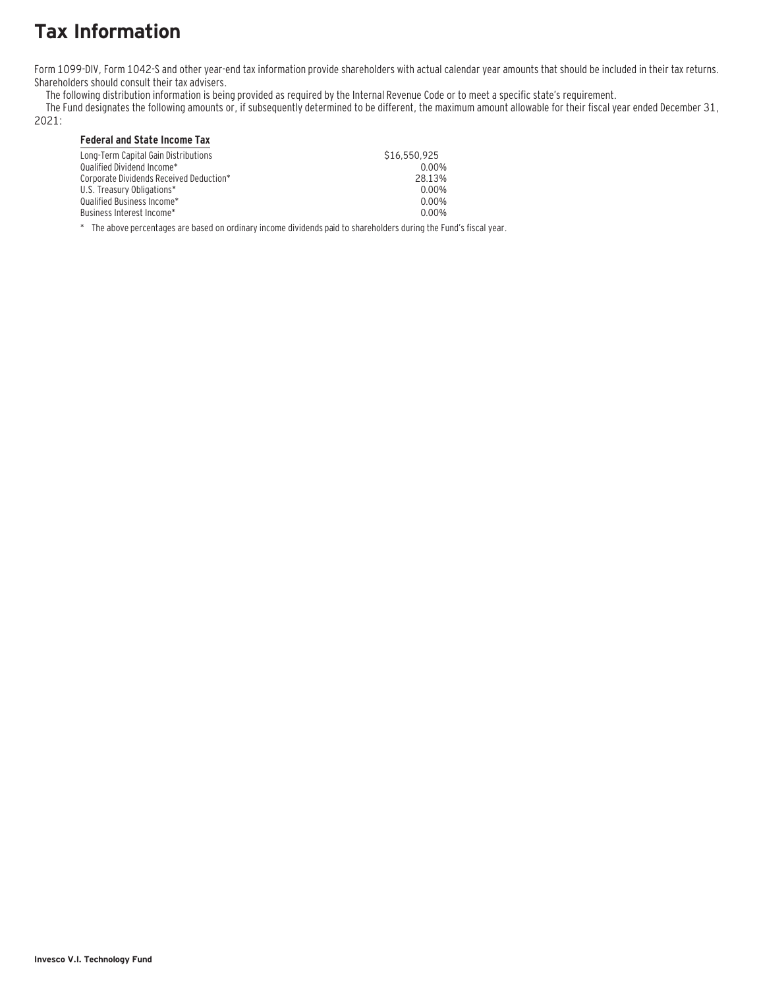# **Tax Information**

Form 1099-DIV, Form 1042-S and other year-end tax information provide shareholders with actual calendar year amounts that should be included in their tax returns. Shareholders should consult their tax advisers.

The following distribution information is being provided as required by the Internal Revenue Code or to meet a specific state's requirement.

The Fund designates the following amounts or, if subsequently determined to be different, the maximum amount allowable for their fiscal year ended December 31,

2021:

### **Federal and State Income Tax**

| Long-Term Capital Gain Distributions    | \$16,550,925 |
|-----------------------------------------|--------------|
| Oualified Dividend Income*              | 0.00%        |
| Corporate Dividends Received Deduction* | 28.13%       |
| U.S. Treasury Obligations*              | 0.00%        |
| Oualified Business Income*              | 0.00%        |
| Business Interest Income*_              | 0.00%        |
|                                         |              |

\* The above percentages are based on ordinary income dividends paid to shareholders during the Fund's fiscal year.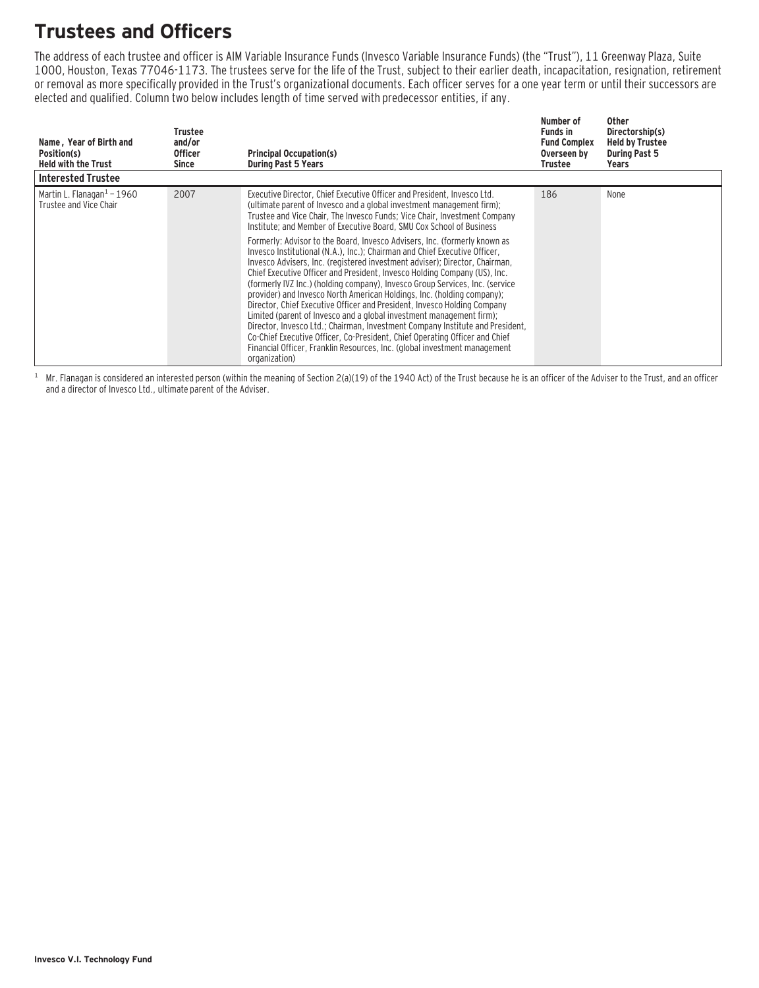# **Trustees and Officers**

The address of each trustee and officer is AIM Variable Insurance Funds (Invesco Variable Insurance Funds) (the "Trust"), 11 Greenway Plaza, Suite 1000, Houston, Texas 77046-1173. The trustees serve for the life of the Trust, subject to their earlier death, incapacitation, resignation, retirement or removal as more specifically provided in the Trust's organizational documents. Each officer serves for a one year term or until their successors are elected and qualified. Column two below includes length of time served with predecessor entities, if any.

| Name, Year of Birth and<br>Position(s)<br><b>Held with the Trust</b> | Trustee<br>and/or<br><b>Officer</b><br>Since | <b>Principal Occupation(s)</b><br><b>During Past 5 Years</b>                                                                                                                                                                                                                                                                                                                                                                                                                                                                                                                                                                                                                                                                                                                                                                                                                                                                                                                                                                                                                                                                                                                                             | Number of<br><b>Funds in</b><br><b>Fund Complex</b><br>Overseen by<br>Trustee | Other<br>Directorship(s)<br><b>Held by Trustee</b><br><b>During Past 5</b><br>Years |
|----------------------------------------------------------------------|----------------------------------------------|----------------------------------------------------------------------------------------------------------------------------------------------------------------------------------------------------------------------------------------------------------------------------------------------------------------------------------------------------------------------------------------------------------------------------------------------------------------------------------------------------------------------------------------------------------------------------------------------------------------------------------------------------------------------------------------------------------------------------------------------------------------------------------------------------------------------------------------------------------------------------------------------------------------------------------------------------------------------------------------------------------------------------------------------------------------------------------------------------------------------------------------------------------------------------------------------------------|-------------------------------------------------------------------------------|-------------------------------------------------------------------------------------|
| <b>Interested Trustee</b>                                            |                                              |                                                                                                                                                                                                                                                                                                                                                                                                                                                                                                                                                                                                                                                                                                                                                                                                                                                                                                                                                                                                                                                                                                                                                                                                          |                                                                               |                                                                                     |
| Martin L. Flanagan $1$ – 1960<br>Trustee and Vice Chair              | 2007                                         | Executive Director, Chief Executive Officer and President, Invesco Ltd.<br>(ultimate parent of Invesco and a global investment management firm);<br>Trustee and Vice Chair, The Invesco Funds; Vice Chair, Investment Company<br>Institute; and Member of Executive Board, SMU Cox School of Business<br>Formerly: Advisor to the Board, Invesco Advisers, Inc. (formerly known as<br>Invesco Institutional (N.A.), Inc.): Chairman and Chief Executive Officer.<br>Invesco Advisers, Inc. (registered investment adviser); Director, Chairman,<br>Chief Executive Officer and President, Invesco Holding Company (US), Inc.<br>(formerly IVZ Inc.) (holding company), Invesco Group Services, Inc. (service<br>provider) and Invesco North American Holdings, Inc. (holding company);<br>Director, Chief Executive Officer and President, Invesco Holding Company<br>Limited (parent of Invesco and a global investment management firm);<br>Director, Invesco Ltd.; Chairman, Investment Company Institute and President,<br>Co-Chief Executive Officer, Co-President, Chief Operating Officer and Chief<br>Financial Officer, Franklin Resources, Inc. (global investment management<br>organization) | 186                                                                           | None                                                                                |

 $1$  Mr. Flanagan is considered an interested person (within the meaning of Section 2(a)(19) of the 1940 Act) of the Trust because he is an officer of the Adviser to the Trust, and an officer and a director of Invesco Ltd., ultimate parent of the Adviser.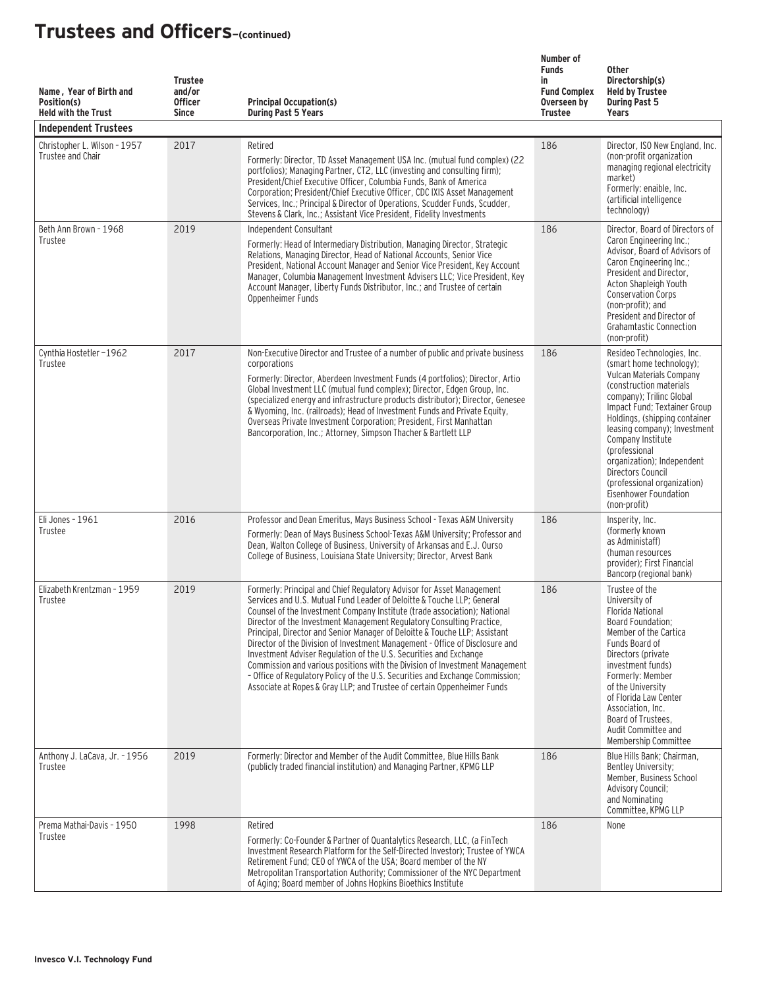| Name, Year of Birth and<br>Position(s)<br><b>Held with the Trust</b><br><b>Independent Trustees</b> | <b>Trustee</b><br>and/or<br><b>Officer</b><br><b>Since</b> | <b>Principal Occupation(s)</b><br><b>During Past 5 Years</b>                                                                                                                                                                                                                                                                                                                                                                                                                                                                                                                                                                                                                                                                                                                        | Number of<br><b>Funds</b><br>in<br><b>Fund Complex</b><br>Overseen by<br><b>Trustee</b> | <b>Other</b><br>Directorship(s)<br><b>Held by Trustee</b><br><b>During Past 5</b><br>Years                                                                                                                                                                                                                                                                                                                   |
|-----------------------------------------------------------------------------------------------------|------------------------------------------------------------|-------------------------------------------------------------------------------------------------------------------------------------------------------------------------------------------------------------------------------------------------------------------------------------------------------------------------------------------------------------------------------------------------------------------------------------------------------------------------------------------------------------------------------------------------------------------------------------------------------------------------------------------------------------------------------------------------------------------------------------------------------------------------------------|-----------------------------------------------------------------------------------------|--------------------------------------------------------------------------------------------------------------------------------------------------------------------------------------------------------------------------------------------------------------------------------------------------------------------------------------------------------------------------------------------------------------|
| Christopher L. Wilson - 1957<br>Trustee and Chair                                                   | 2017                                                       | Retired<br>Formerly: Director, TD Asset Management USA Inc. (mutual fund complex) (22<br>portfolios); Managing Partner, CT2, LLC (investing and consulting firm);<br>President/Chief Executive Officer, Columbia Funds, Bank of America<br>Corporation; President/Chief Executive Officer, CDC IXIS Asset Management<br>Services, Inc.; Principal & Director of Operations, Scudder Funds, Scudder,<br>Stevens & Clark, Inc.; Assistant Vice President, Fidelity Investments                                                                                                                                                                                                                                                                                                        | 186                                                                                     | Director, ISO New England, Inc.<br>(non-profit organization<br>managing regional electricity<br>market)<br>Formerly: enaible, Inc.<br>(artificial intelligence<br>technology)                                                                                                                                                                                                                                |
| Beth Ann Brown - 1968<br>Trustee                                                                    | 2019                                                       | Independent Consultant<br>Formerly: Head of Intermediary Distribution, Managing Director, Strategic<br>Relations, Managing Director, Head of National Accounts, Senior Vice<br>President, National Account Manager and Senior Vice President, Key Account<br>Manager, Columbia Management Investment Advisers LLC; Vice President, Key<br>Account Manager, Liberty Funds Distributor, Inc.; and Trustee of certain<br>Oppenheimer Funds                                                                                                                                                                                                                                                                                                                                             | 186                                                                                     | Director, Board of Directors of<br>Caron Engineering Inc.;<br>Advisor, Board of Advisors of<br>Caron Engineering Inc.;<br>President and Director,<br>Acton Shapleigh Youth<br><b>Conservation Corps</b><br>(non-profit); and<br>President and Director of<br><b>Grahamtastic Connection</b><br>(non-profit)                                                                                                  |
| Cynthia Hostetler-1962<br>Trustee                                                                   | 2017                                                       | Non-Executive Director and Trustee of a number of public and private business<br>corporations<br>Formerly: Director, Aberdeen Investment Funds (4 portfolios); Director, Artio<br>Global Investment LLC (mutual fund complex); Director, Edgen Group, Inc.<br>(specialized energy and infrastructure products distributor); Director, Genesee<br>& Wyoming, Inc. (railroads); Head of Investment Funds and Private Equity,<br>Overseas Private Investment Corporation; President, First Manhattan<br>Bancorporation, Inc.; Attorney, Simpson Thacher & Bartlett LLP                                                                                                                                                                                                                 | 186                                                                                     | Resideo Technologies, Inc.<br>(smart home technology);<br>Vulcan Materials Company<br>(construction materials)<br>company); Trilinc Global<br>Impact Fund; Textainer Group<br>Holdings, (shipping container<br>leasing company); Investment<br>Company Institute<br>(professional<br>organization); Independent<br>Directors Council<br>(professional organization)<br>Eisenhower Foundation<br>(non-profit) |
| Eli Jones - 1961<br>Trustee                                                                         | 2016                                                       | Professor and Dean Emeritus, Mays Business School - Texas A&M University<br>Formerly: Dean of Mays Business School-Texas A&M University; Professor and<br>Dean, Walton College of Business, University of Arkansas and E.J. Ourso<br>College of Business, Louisiana State University; Director, Arvest Bank                                                                                                                                                                                                                                                                                                                                                                                                                                                                         | 186                                                                                     | Insperity, Inc.<br>(formerly known)<br>as Administaff)<br>(human resources<br>provider): First Financial<br>Bancorp (regional bank)                                                                                                                                                                                                                                                                          |
| Elizabeth Krentzman - 1959<br>Trustee                                                               | 2019                                                       | Formerly: Principal and Chief Regulatory Advisor for Asset Management<br>Services and U.S. Mutual Fund Leader of Deloitte & Touche LLP: General<br>Counsel of the Investment Company Institute (trade association); National<br>Director of the Investment Management Regulatory Consulting Practice,<br>Principal, Director and Senior Manager of Deloitte & Touche LLP; Assistant<br>Director of the Division of Investment Management - Office of Disclosure and<br>Investment Adviser Regulation of the U.S. Securities and Exchange<br>Commission and various positions with the Division of Investment Management<br>- Office of Regulatory Policy of the U.S. Securities and Exchange Commission;<br>Associate at Ropes & Gray LLP; and Trustee of certain Oppenheimer Funds | 186                                                                                     | Trustee of the<br>University of<br><b>Florida National</b><br>Board Foundation;<br>Member of the Cartica<br>Funds Board of<br>Directors (private<br>investment funds)<br>Formerly: Member<br>of the University<br>of Florida Law Center<br>Association, Inc.<br>Board of Trustees,<br>Audit Committee and<br>Membership Committee                                                                            |
| Anthony J. LaCava, Jr. - 1956<br>Trustee                                                            | 2019                                                       | Formerly: Director and Member of the Audit Committee, Blue Hills Bank<br>(publicly traded financial institution) and Managing Partner, KPMG LLP                                                                                                                                                                                                                                                                                                                                                                                                                                                                                                                                                                                                                                     | 186                                                                                     | Blue Hills Bank; Chairman,<br>Bentley University;<br>Member, Business School<br><b>Advisory Council;</b><br>and Nominating<br>Committee, KPMG LLP                                                                                                                                                                                                                                                            |
| Prema Mathai-Davis - 1950<br>Trustee                                                                | 1998                                                       | Retired<br>Formerly: Co-Founder & Partner of Quantalytics Research, LLC, (a FinTech<br>Investment Research Platform for the Self-Directed Investor); Trustee of YWCA<br>Retirement Fund; CEO of YWCA of the USA; Board member of the NY<br>Metropolitan Transportation Authority; Commissioner of the NYC Department<br>of Aging; Board member of Johns Hopkins Bioethics Institute                                                                                                                                                                                                                                                                                                                                                                                                 | 186                                                                                     | None                                                                                                                                                                                                                                                                                                                                                                                                         |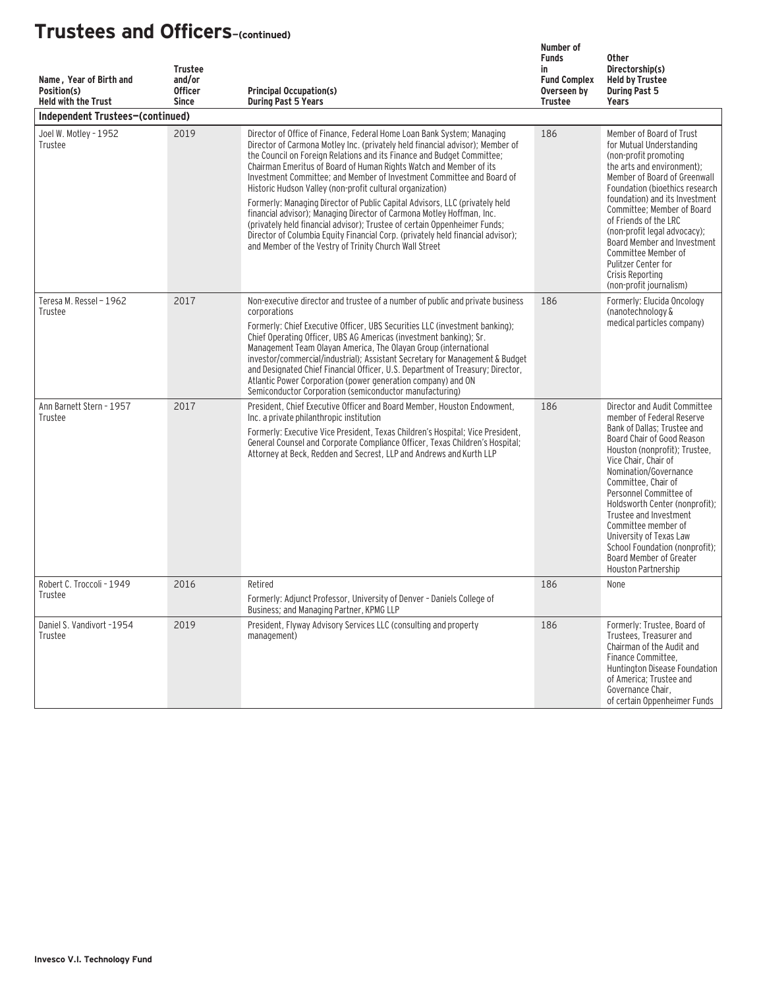| Name, Year of Birth and<br>Position(s)<br><b>Held with the Trust</b> | <b>Trustee</b><br>and/or<br><b>Officer</b><br><b>Since</b> | <b>Principal Occupation(s)</b><br><b>During Past 5 Years</b>                                                                                                                                                                                                                                                                                                                                                                                                                                                                                                                                                                                                                                                                                                                                                                    | Number of<br><b>Funds</b><br>in<br><b>Fund Complex</b><br>Overseen by<br><b>Trustee</b> | <b>Other</b><br>Directorship(s)<br><b>Held by Trustee</b><br><b>During Past 5</b><br>Years                                                                                                                                                                                                                                                                                                                                                                         |
|----------------------------------------------------------------------|------------------------------------------------------------|---------------------------------------------------------------------------------------------------------------------------------------------------------------------------------------------------------------------------------------------------------------------------------------------------------------------------------------------------------------------------------------------------------------------------------------------------------------------------------------------------------------------------------------------------------------------------------------------------------------------------------------------------------------------------------------------------------------------------------------------------------------------------------------------------------------------------------|-----------------------------------------------------------------------------------------|--------------------------------------------------------------------------------------------------------------------------------------------------------------------------------------------------------------------------------------------------------------------------------------------------------------------------------------------------------------------------------------------------------------------------------------------------------------------|
| Independent Trustees-(continued)                                     |                                                            |                                                                                                                                                                                                                                                                                                                                                                                                                                                                                                                                                                                                                                                                                                                                                                                                                                 |                                                                                         |                                                                                                                                                                                                                                                                                                                                                                                                                                                                    |
| Joel W. Motley - 1952<br>Trustee                                     | 2019                                                       | Director of Office of Finance, Federal Home Loan Bank System; Managing<br>Director of Carmona Motley Inc. (privately held financial advisor); Member of<br>the Council on Foreign Relations and its Finance and Budget Committee:<br>Chairman Emeritus of Board of Human Rights Watch and Member of its<br>Investment Committee: and Member of Investment Committee and Board of<br>Historic Hudson Valley (non-profit cultural organization)<br>Formerly: Managing Director of Public Capital Advisors, LLC (privately held<br>financial advisor); Managing Director of Carmona Motley Hoffman, Inc.<br>(privately held financial advisor); Trustee of certain Oppenheimer Funds;<br>Director of Columbia Equity Financial Corp. (privately held financial advisor);<br>and Member of the Vestry of Trinity Church Wall Street | 186                                                                                     | Member of Board of Trust<br>for Mutual Understanding<br>(non-profit promoting<br>the arts and environment):<br>Member of Board of Greenwall<br>Foundation (bioethics research<br>foundation) and its Investment<br>Committee: Member of Board<br>of Friends of the LRC<br>(non-profit legal advocacy);<br>Board Member and Investment<br>Committee Member of<br>Pulitzer Center for<br>Crisis Reporting<br>(non-profit journalism)                                 |
| Teresa M. Ressel - 1962<br>Trustee                                   | 2017                                                       | Non-executive director and trustee of a number of public and private business<br>corporations<br>Formerly: Chief Executive Officer, UBS Securities LLC (investment banking);<br>Chief Operating Officer, UBS AG Americas (investment banking): Sr.<br>Management Team Olayan America, The Olayan Group (international<br>investor/commercial/industrial); Assistant Secretary for Management & Budget<br>and Designated Chief Financial Officer, U.S. Department of Treasury: Director,<br>Atlantic Power Corporation (power generation company) and ON<br>Semiconductor Corporation (semiconductor manufacturing)                                                                                                                                                                                                              | 186                                                                                     | Formerly: Elucida Oncology<br>(nanotechnology &<br>medical particles company)                                                                                                                                                                                                                                                                                                                                                                                      |
| Ann Barnett Stern - 1957<br>Trustee                                  | 2017                                                       | President, Chief Executive Officer and Board Member, Houston Endowment,<br>Inc. a private philanthropic institution<br>Formerly: Executive Vice President, Texas Children's Hospital; Vice President,<br>General Counsel and Corporate Compliance Officer, Texas Children's Hospital;<br>Attorney at Beck, Redden and Secrest, LLP and Andrews and Kurth LLP                                                                                                                                                                                                                                                                                                                                                                                                                                                                    | 186                                                                                     | Director and Audit Committee<br>member of Federal Reserve<br>Bank of Dallas; Trustee and<br>Board Chair of Good Reason<br>Houston (nonprofit); Trustee,<br>Vice Chair, Chair of<br>Nomination/Governance<br>Committee, Chair of<br>Personnel Committee of<br>Holdsworth Center (nonprofit);<br>Trustee and Investment<br>Committee member of<br>University of Texas Law<br>School Foundation (nonprofit);<br>Board Member of Greater<br><b>Houston Partnership</b> |
| Robert C. Troccoli - 1949<br>Trustee                                 | 2016                                                       | Retired<br>Formerly: Adjunct Professor, University of Denver - Daniels College of<br>Business; and Managing Partner, KPMG LLP                                                                                                                                                                                                                                                                                                                                                                                                                                                                                                                                                                                                                                                                                                   | 186                                                                                     | None                                                                                                                                                                                                                                                                                                                                                                                                                                                               |
| Daniel S. Vandivort -1954<br>Trustee                                 | 2019                                                       | President, Flyway Advisory Services LLC (consulting and property<br>management)                                                                                                                                                                                                                                                                                                                                                                                                                                                                                                                                                                                                                                                                                                                                                 | 186                                                                                     | Formerly: Trustee, Board of<br>Trustees. Treasurer and<br>Chairman of the Audit and<br>Finance Committee,<br>Huntington Disease Foundation<br>of America; Trustee and<br>Governance Chair,<br>of certain Oppenheimer Funds                                                                                                                                                                                                                                         |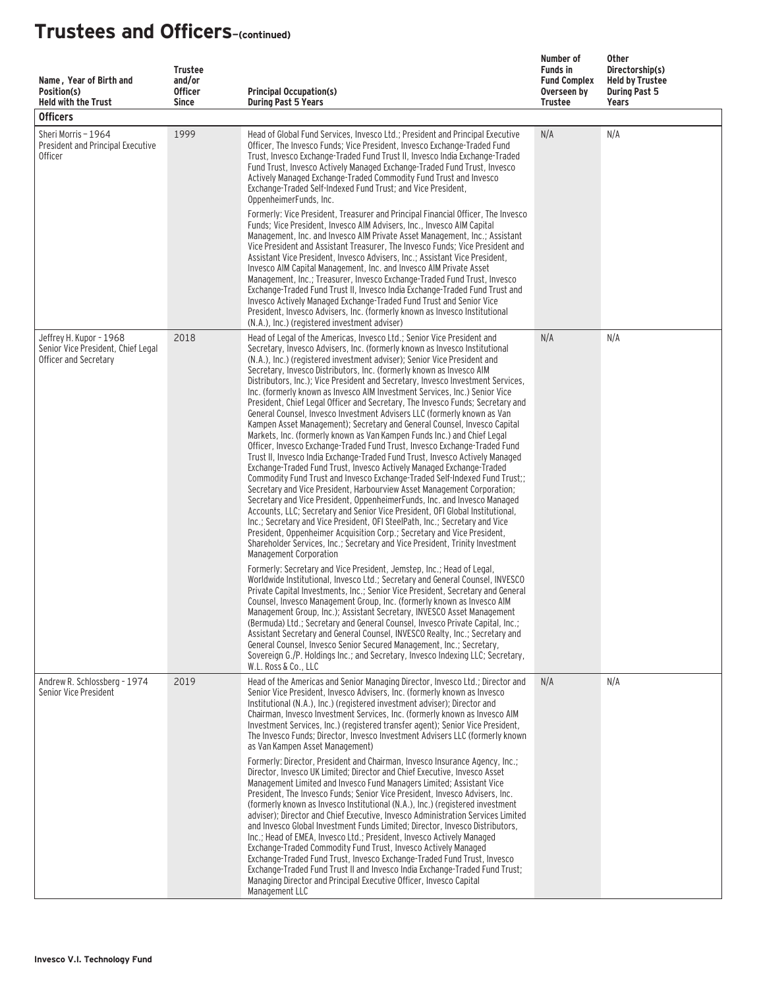| Name, Year of Birth and<br>Position(s)<br><b>Held with the Trust</b><br><b>Officers</b> | <b>Trustee</b><br>and/or<br><b>Officer</b><br><b>Since</b> | <b>Principal Occupation(s)</b><br><b>During Past 5 Years</b>                                                                                                                                                                                                                                                                                                                                                                                                                                                                                                                                                                                                                                                                                                                                                                                                                                                                                                                                                                                                                                                                                                                                                                                                                                                                                                                                                                                                                                                                                                                                                                 | Number of<br><b>Funds in</b><br><b>Fund Complex</b><br>Overseen by<br>Trustee | Other<br>Directorship(s)<br><b>Held by Trustee</b><br><b>During Past 5</b><br>Years |
|-----------------------------------------------------------------------------------------|------------------------------------------------------------|------------------------------------------------------------------------------------------------------------------------------------------------------------------------------------------------------------------------------------------------------------------------------------------------------------------------------------------------------------------------------------------------------------------------------------------------------------------------------------------------------------------------------------------------------------------------------------------------------------------------------------------------------------------------------------------------------------------------------------------------------------------------------------------------------------------------------------------------------------------------------------------------------------------------------------------------------------------------------------------------------------------------------------------------------------------------------------------------------------------------------------------------------------------------------------------------------------------------------------------------------------------------------------------------------------------------------------------------------------------------------------------------------------------------------------------------------------------------------------------------------------------------------------------------------------------------------------------------------------------------------|-------------------------------------------------------------------------------|-------------------------------------------------------------------------------------|
| Sheri Morris - 1964<br>President and Principal Executive<br><b>Officer</b>              | 1999                                                       | Head of Global Fund Services, Invesco Ltd.; President and Principal Executive<br>Officer, The Invesco Funds; Vice President, Invesco Exchange-Traded Fund<br>Trust, Invesco Exchange-Traded Fund Trust II, Invesco India Exchange-Traded<br>Fund Trust, Invesco Actively Managed Exchange-Traded Fund Trust, Invesco<br>Actively Managed Exchange-Traded Commodity Fund Trust and Invesco<br>Exchange-Traded Self-Indexed Fund Trust: and Vice President.<br>OppenheimerFunds, Inc.<br>Formerly: Vice President, Treasurer and Principal Financial Officer, The Invesco<br>Funds; Vice President, Invesco AIM Advisers, Inc., Invesco AIM Capital<br>Management, Inc. and Invesco AIM Private Asset Management, Inc.; Assistant<br>Vice President and Assistant Treasurer, The Invesco Funds; Vice President and<br>Assistant Vice President, Invesco Advisers, Inc.; Assistant Vice President,<br>Invesco AIM Capital Management, Inc. and Invesco AIM Private Asset<br>Management, Inc.; Treasurer, Invesco Exchange-Traded Fund Trust, Invesco<br>Exchange-Traded Fund Trust II, Invesco India Exchange-Traded Fund Trust and<br>Invesco Actively Managed Exchange-Traded Fund Trust and Senior Vice<br>President, Invesco Advisers, Inc. (formerly known as Invesco Institutional<br>(N.A.), Inc.) (registered investment adviser)                                                                                                                                                                                                                                                                                       | N/A                                                                           | N/A                                                                                 |
| Jeffrey H. Kupor - 1968<br>Senior Vice President, Chief Legal<br>Officer and Secretary  | 2018                                                       | Head of Legal of the Americas, Invesco Ltd.; Senior Vice President and<br>Secretary, Invesco Advisers, Inc. (formerly known as Invesco Institutional<br>(N.A.), Inc.) (registered investment adviser); Senior Vice President and<br>Secretary, Invesco Distributors, Inc. (formerly known as Invesco AIM<br>Distributors, Inc.); Vice President and Secretary, Invesco Investment Services,<br>Inc. (formerly known as Invesco AIM Investment Services, Inc.) Senior Vice<br>President, Chief Legal Officer and Secretary, The Invesco Funds; Secretary and<br>General Counsel, Invesco Investment Advisers LLC (formerly known as Van<br>Kampen Asset Management); Secretary and General Counsel, Invesco Capital<br>Markets, Inc. (formerly known as Van Kampen Funds Inc.) and Chief Legal<br>Officer, Invesco Exchange-Traded Fund Trust, Invesco Exchange-Traded Fund<br>Trust II, Invesco India Exchange-Traded Fund Trust, Invesco Actively Managed<br>Exchange-Traded Fund Trust, Invesco Actively Managed Exchange-Traded<br>Commodity Fund Trust and Invesco Exchange-Traded Self-Indexed Fund Trust;;<br>Secretary and Vice President, Harbourview Asset Management Corporation;<br>Secretary and Vice President, OppenheimerFunds, Inc. and Invesco Managed<br>Accounts, LLC; Secretary and Senior Vice President, OFI Global Institutional,<br>Inc.; Secretary and Vice President, OFI SteelPath, Inc.; Secretary and Vice<br>President, Oppenheimer Acquisition Corp.; Secretary and Vice President,<br>Shareholder Services, Inc.; Secretary and Vice President, Trinity Investment<br>Management Corporation | N/A                                                                           | N/A                                                                                 |
|                                                                                         |                                                            | Formerly: Secretary and Vice President, Jemstep, Inc.; Head of Legal,<br>Worldwide Institutional, Invesco Ltd.; Secretary and General Counsel, INVESCO<br>Private Capital Investments, Inc.; Senior Vice President, Secretary and General<br>Counsel, Invesco Management Group, Inc. (formerly known as Invesco AIM<br>Management Group, Inc.); Assistant Secretary, INVESCO Asset Management<br>(Bermuda) Ltd.; Secretary and General Counsel, Invesco Private Capital, Inc.;<br>Assistant Secretary and General Counsel, INVESCO Realty, Inc.; Secretary and<br>General Counsel, Invesco Senior Secured Management, Inc.; Secretary,<br>Sovereign G./P. Holdings Inc.; and Secretary, Invesco Indexing LLC; Secretary,<br>W.L. Ross & Co., LLC                                                                                                                                                                                                                                                                                                                                                                                                                                                                                                                                                                                                                                                                                                                                                                                                                                                                             |                                                                               |                                                                                     |
| Andrew R. Schlossberg - 1974<br>Senior Vice President                                   | 2019                                                       | Head of the Americas and Senior Managing Director, Invesco Ltd.; Director and<br>Senior Vice President, Invesco Advisers, Inc. (formerly known as Invesco<br>Institutional (N.A.), Inc.) (registered investment adviser); Director and<br>Chairman, Invesco Investment Services, Inc. (formerly known as Invesco AIM<br>Investment Services, Inc.) (registered transfer agent); Senior Vice President,<br>The Invesco Funds: Director, Invesco Investment Advisers LLC (formerly known<br>as Van Kampen Asset Management)<br>Formerly: Director, President and Chairman, Invesco Insurance Agency, Inc.:<br>Director, Invesco UK Limited; Director and Chief Executive, Invesco Asset<br>Management Limited and Invesco Fund Managers Limited; Assistant Vice<br>President, The Invesco Funds; Senior Vice President, Invesco Advisers, Inc.<br>(formerly known as Invesco Institutional (N.A.), Inc.) (registered investment<br>adviser); Director and Chief Executive, Invesco Administration Services Limited<br>and Invesco Global Investment Funds Limited; Director, Invesco Distributors,<br>Inc.; Head of EMEA, Invesco Ltd.; President, Invesco Actively Managed<br>Exchange-Traded Commodity Fund Trust, Invesco Actively Managed<br>Exchange-Traded Fund Trust, Invesco Exchange-Traded Fund Trust, Invesco<br>Exchange-Traded Fund Trust II and Invesco India Exchange-Traded Fund Trust;<br>Managing Director and Principal Executive Officer, Invesco Capital                                                                                                                                                  | N/A                                                                           | N/A                                                                                 |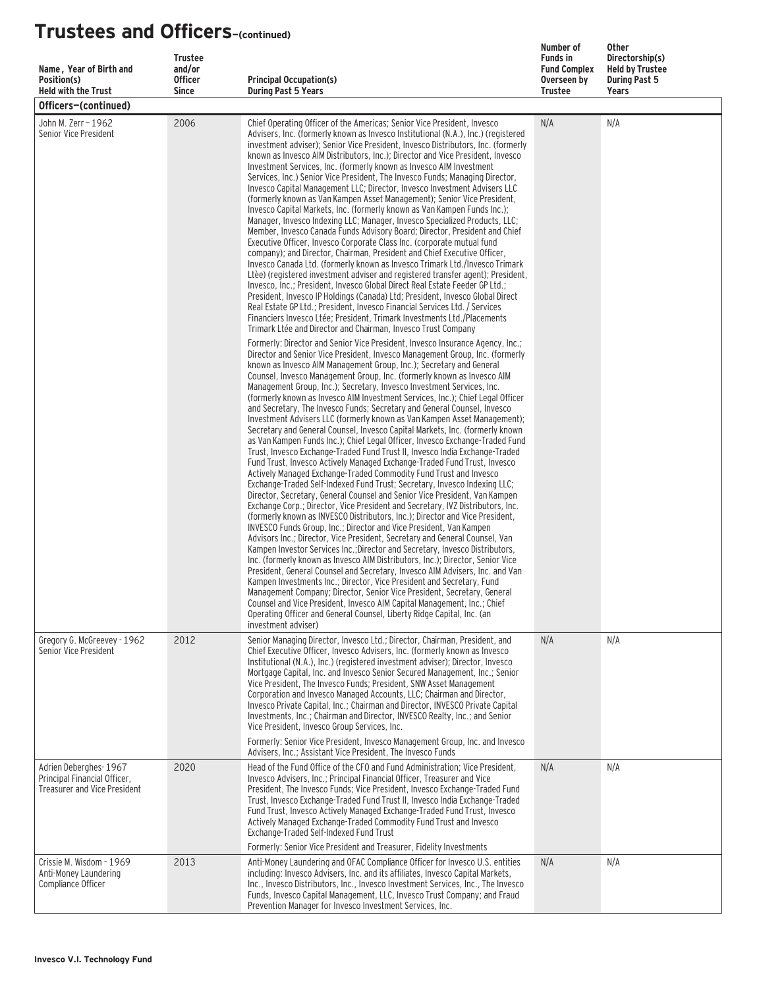| Name, Year of Birth and<br>Position(s)<br><b>Held with the Trust</b>                         | <b>Trustee</b><br>and/or<br><b>Officer</b><br><b>Since</b> | <b>Principal Occupation(s)</b><br><b>During Past 5 Years</b>                                                                                                                                                                                                                                                                                                                                                                                                                                                                                                                                                                                                                                                                                                                                                                                                                                                                                                                                                                                                                                                                                                                                                                                                                                                                                                                                                                                                                                                                                                                                                                                                                                                                                                                                                                                                                                                                                                                                                                                                                                          | Number of<br><b>Funds in</b><br><b>Fund Complex</b><br>Overseen by<br><b>Trustee</b> | <b>Other</b><br>Directorship(s)<br><b>Held by Trustee</b><br><b>During Past 5</b><br><b>Years</b> |
|----------------------------------------------------------------------------------------------|------------------------------------------------------------|-------------------------------------------------------------------------------------------------------------------------------------------------------------------------------------------------------------------------------------------------------------------------------------------------------------------------------------------------------------------------------------------------------------------------------------------------------------------------------------------------------------------------------------------------------------------------------------------------------------------------------------------------------------------------------------------------------------------------------------------------------------------------------------------------------------------------------------------------------------------------------------------------------------------------------------------------------------------------------------------------------------------------------------------------------------------------------------------------------------------------------------------------------------------------------------------------------------------------------------------------------------------------------------------------------------------------------------------------------------------------------------------------------------------------------------------------------------------------------------------------------------------------------------------------------------------------------------------------------------------------------------------------------------------------------------------------------------------------------------------------------------------------------------------------------------------------------------------------------------------------------------------------------------------------------------------------------------------------------------------------------------------------------------------------------------------------------------------------------|--------------------------------------------------------------------------------------|---------------------------------------------------------------------------------------------------|
| Officers-(continued)                                                                         |                                                            |                                                                                                                                                                                                                                                                                                                                                                                                                                                                                                                                                                                                                                                                                                                                                                                                                                                                                                                                                                                                                                                                                                                                                                                                                                                                                                                                                                                                                                                                                                                                                                                                                                                                                                                                                                                                                                                                                                                                                                                                                                                                                                       |                                                                                      |                                                                                                   |
| John M. Zerr - 1962<br>Senior Vice President                                                 | 2006                                                       | Chief Operating Officer of the Americas; Senior Vice President, Invesco<br>Advisers, Inc. (formerly known as Invesco Institutional (N.A.), Inc.) (registered<br>investment adviser); Senior Vice President, Invesco Distributors, Inc. (formerly<br>known as Invesco AIM Distributors, Inc.); Director and Vice President, Invesco<br>Investment Services, Inc. (formerly known as Invesco AIM Investment<br>Services, Inc.) Senior Vice President, The Invesco Funds; Managing Director,<br>Invesco Capital Management LLC; Director, Invesco Investment Advisers LLC<br>(formerly known as Van Kampen Asset Management); Senior Vice President,<br>Invesco Capital Markets, Inc. (formerly known as Van Kampen Funds Inc.);<br>Manager, Invesco Indexing LLC; Manager, Invesco Specialized Products, LLC;<br>Member, Invesco Canada Funds Advisory Board; Director, President and Chief<br>Executive Officer, Invesco Corporate Class Inc. (corporate mutual fund<br>company); and Director, Chairman, President and Chief Executive Officer,<br>Invesco Canada Ltd. (formerly known as Invesco Trimark Ltd./Invesco Trimark<br>Ltèe) (registered investment adviser and registered transfer agent); President,<br>Invesco, Inc.; President, Invesco Global Direct Real Estate Feeder GP Ltd.;<br>President, Invesco IP Holdings (Canada) Ltd: President, Invesco Global Direct<br>Real Estate GP Ltd.; President, Invesco Financial Services Ltd. / Services<br>Financiers Invesco Ltée: President, Trimark Investments Ltd./Placements<br>Trimark Ltée and Director and Chairman, Invesco Trust Company                                                                                                                                                                                                                                                                                                                                                                                                                                                                                           | N/A                                                                                  | N/A                                                                                               |
|                                                                                              |                                                            | Formerly: Director and Senior Vice President, Invesco Insurance Agency, Inc.;<br>Director and Senior Vice President, Invesco Management Group, Inc. (formerly<br>known as Invesco AIM Management Group, Inc.); Secretary and General<br>Counsel, Invesco Management Group, Inc. (formerly known as Invesco AIM<br>Management Group, Inc.); Secretary, Invesco Investment Services, Inc.<br>(formerly known as Invesco AIM Investment Services, Inc.); Chief Legal Officer<br>and Secretary, The Invesco Funds; Secretary and General Counsel, Invesco<br>Investment Advisers LLC (formerly known as Van Kampen Asset Management);<br>Secretary and General Counsel, Invesco Capital Markets, Inc. (formerly known<br>as Van Kampen Funds Inc.); Chief Legal Officer, Invesco Exchange-Traded Fund<br>Trust, Invesco Exchange-Traded Fund Trust II, Invesco India Exchange-Traded<br>Fund Trust, Invesco Actively Managed Exchange-Traded Fund Trust, Invesco<br>Actively Managed Exchange-Traded Commodity Fund Trust and Invesco<br>Exchange-Traded Self-Indexed Fund Trust; Secretary, Invesco Indexing LLC;<br>Director, Secretary, General Counsel and Senior Vice President, Van Kampen<br>Exchange Corp.; Director, Vice President and Secretary, IVZ Distributors, Inc.<br>(formerly known as INVESCO Distributors, Inc.); Director and Vice President,<br>INVESCO Funds Group, Inc.; Director and Vice President, Van Kampen<br>Advisors Inc.; Director, Vice President, Secretary and General Counsel, Van<br>Kampen Investor Services Inc.: Director and Secretary, Invesco Distributors.<br>Inc. (formerly known as Invesco AIM Distributors, Inc.); Director, Senior Vice<br>President, General Counsel and Secretary, Invesco AIM Advisers, Inc. and Van<br>Kampen Investments Inc.; Director, Vice President and Secretary, Fund<br>Management Company; Director, Senior Vice President, Secretary, General<br>Counsel and Vice President, Invesco AIM Capital Management, Inc.; Chief<br>Operating Officer and General Counsel, Liberty Ridge Capital, Inc. (an<br>investment adviser) |                                                                                      |                                                                                                   |
| Gregory G. McGreevey - 1962<br>Senior Vice President                                         | 2012                                                       | Senior Managing Director, Invesco Ltd.; Director, Chairman, President, and<br>Chief Executive Officer, Invesco Advisers, Inc. (formerly known as Invesco<br>Institutional (N.A.), Inc.) (registered investment adviser); Director, Invesco<br>Mortgage Capital, Inc. and Invesco Senior Secured Management, Inc.; Senior<br>Vice President. The Invesco Funds: President. SNW Asset Management<br>Corporation and Invesco Managed Accounts, LLC; Chairman and Director,<br>Invesco Private Capital, Inc.; Chairman and Director, INVESCO Private Capital<br>Investments, Inc.; Chairman and Director, INVESCO Realty, Inc.; and Senior<br>Vice President, Invesco Group Services, Inc.<br>Formerly: Senior Vice President, Invesco Management Group, Inc. and Invesco                                                                                                                                                                                                                                                                                                                                                                                                                                                                                                                                                                                                                                                                                                                                                                                                                                                                                                                                                                                                                                                                                                                                                                                                                                                                                                                                 | N/A                                                                                  | N/A                                                                                               |
| Adrien Deberghes-1967<br>Principal Financial Officer,<br><b>Treasurer and Vice President</b> | 2020                                                       | Advisers, Inc.; Assistant Vice President, The Invesco Funds<br>Head of the Fund Office of the CFO and Fund Administration; Vice President,<br>Invesco Advisers, Inc.; Principal Financial Officer, Treasurer and Vice<br>President, The Invesco Funds; Vice President, Invesco Exchange-Traded Fund<br>Trust, Invesco Exchange-Traded Fund Trust II, Invesco India Exchange-Traded<br>Fund Trust, Invesco Actively Managed Exchange-Traded Fund Trust, Invesco<br>Actively Managed Exchange-Traded Commodity Fund Trust and Invesco<br>Exchange-Traded Self-Indexed Fund Trust<br>Formerly: Senior Vice President and Treasurer, Fidelity Investments                                                                                                                                                                                                                                                                                                                                                                                                                                                                                                                                                                                                                                                                                                                                                                                                                                                                                                                                                                                                                                                                                                                                                                                                                                                                                                                                                                                                                                                 | N/A                                                                                  | N/A                                                                                               |
| Crissie M. Wisdom - 1969<br>Anti-Money Laundering<br>Compliance Officer                      | 2013                                                       | Anti-Money Laundering and OFAC Compliance Officer for Invesco U.S. entities<br>including: Invesco Advisers, Inc. and its affiliates, Invesco Capital Markets,<br>Inc., Invesco Distributors, Inc., Invesco Investment Services, Inc., The Invesco<br>Funds, Invesco Capital Management, LLC, Invesco Trust Company; and Fraud<br>Prevention Manager for Invesco Investment Services, Inc.                                                                                                                                                                                                                                                                                                                                                                                                                                                                                                                                                                                                                                                                                                                                                                                                                                                                                                                                                                                                                                                                                                                                                                                                                                                                                                                                                                                                                                                                                                                                                                                                                                                                                                             | N/A                                                                                  | N/A                                                                                               |